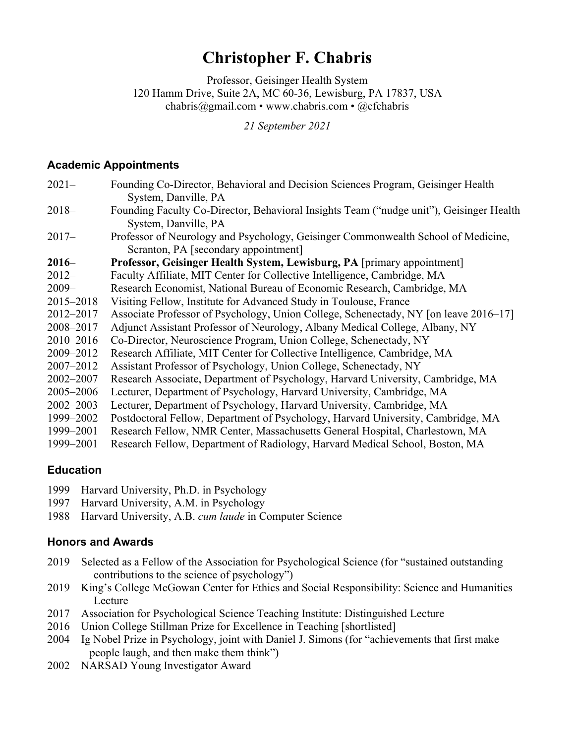# **Christopher F. Chabris**

Professor, Geisinger Health System 120 Hamm Drive, Suite 2A, MC 60-36, Lewisburg, PA 17837, USA chabris@gmail.com • www.chabris.com • @cfchabris

*21 September 2021*

### **Academic Appointments**

| $2021-$       | Founding Co-Director, Behavioral and Decision Sciences Program, Geisinger Health                                                        |
|---------------|-----------------------------------------------------------------------------------------------------------------------------------------|
| $2018-$       | System, Danville, PA<br>Founding Faculty Co-Director, Behavioral Insights Team ("nudge unit"), Geisinger Health<br>System, Danville, PA |
| $2017-$       | Professor of Neurology and Psychology, Geisinger Commonwealth School of Medicine,<br>Scranton, PA [secondary appointment]               |
| $2016-$       | Professor, Geisinger Health System, Lewisburg, PA [primary appointment]                                                                 |
| $2012-$       | Faculty Affiliate, MIT Center for Collective Intelligence, Cambridge, MA                                                                |
| $2009-$       | Research Economist, National Bureau of Economic Research, Cambridge, MA                                                                 |
| 2015-2018     | Visiting Fellow, Institute for Advanced Study in Toulouse, France                                                                       |
| 2012-2017     | Associate Professor of Psychology, Union College, Schenectady, NY [on leave 2016–17]                                                    |
| 2008-2017     | Adjunct Assistant Professor of Neurology, Albany Medical College, Albany, NY                                                            |
| 2010-2016     | Co-Director, Neuroscience Program, Union College, Schenectady, NY                                                                       |
| 2009-2012     | Research Affiliate, MIT Center for Collective Intelligence, Cambridge, MA                                                               |
| 2007-2012     | Assistant Professor of Psychology, Union College, Schenectady, NY                                                                       |
| 2002-2007     | Research Associate, Department of Psychology, Harvard University, Cambridge, MA                                                         |
| 2005-2006     | Lecturer, Department of Psychology, Harvard University, Cambridge, MA                                                                   |
| $2002 - 2003$ | Lecturer, Department of Psychology, Harvard University, Cambridge, MA                                                                   |
| 1999-2002     | Postdoctoral Fellow, Department of Psychology, Harvard University, Cambridge, MA                                                        |
| 1999-2001     | Research Fellow, NMR Center, Massachusetts General Hospital, Charlestown, MA                                                            |
| 1999-2001     | Research Fellow, Department of Radiology, Harvard Medical School, Boston, MA                                                            |

# **Education**

- 1999 Harvard University, Ph.D. in Psychology
- 1997 Harvard University, A.M. in Psychology
- 1988 Harvard University, A.B. *cum laude* in Computer Science

# **Honors and Awards**

- 2019 Selected as a Fellow of the Association for Psychological Science (for "sustained outstanding contributions to the science of psychology")
- 2019 King's College McGowan Center for Ethics and Social Responsibility: Science and Humanities Lecture
- 2017 Association for Psychological Science Teaching Institute: Distinguished Lecture
- 2016 Union College Stillman Prize for Excellence in Teaching [shortlisted]
- 2004 Ig Nobel Prize in Psychology, joint with Daniel J. Simons (for "achievements that first make people laugh, and then make them think")
- 2002 NARSAD Young Investigator Award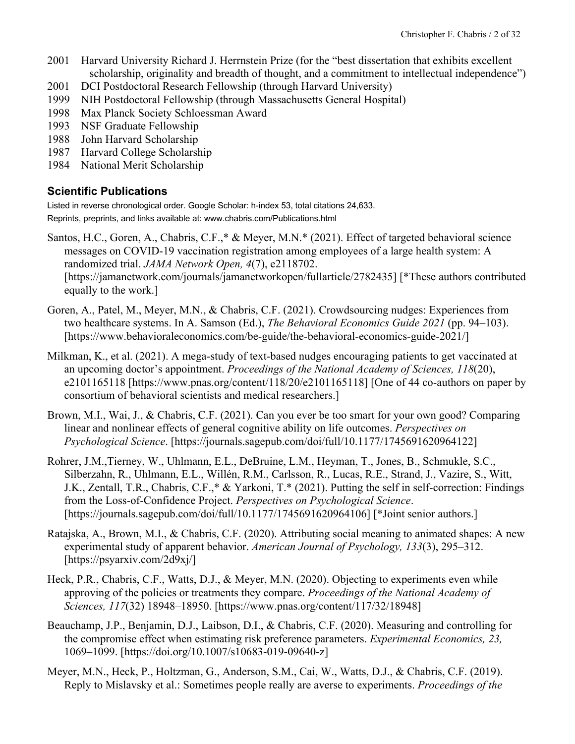- 2001 Harvard University Richard J. Herrnstein Prize (for the "best dissertation that exhibits excellent scholarship, originality and breadth of thought, and a commitment to intellectual independence")
- 2001 DCI Postdoctoral Research Fellowship (through Harvard University)
- 1999 NIH Postdoctoral Fellowship (through Massachusetts General Hospital)
- 1998 Max Planck Society Schloessman Award
- 1993 NSF Graduate Fellowship
- 1988 John Harvard Scholarship
- 1987 Harvard College Scholarship
- 1984 National Merit Scholarship

# **Scientific Publications**

Listed in reverse chronological order. Google Scholar: h-index 53, total citations 24,633.

Reprints, preprints, and links available at: www.chabris.com/Publications.html

- Santos, H.C., Goren, A., Chabris, C.F.,\* & Meyer, M.N.\* (2021). Effect of targeted behavioral science messages on COVID-19 vaccination registration among employees of a large health system: A randomized trial. *JAMA Network Open, 4*(7), e2118702. [https://jamanetwork.com/journals/jamanetworkopen/fullarticle/2782435] [\*These authors contributed equally to the work.]
- Goren, A., Patel, M., Meyer, M.N., & Chabris, C.F. (2021). Crowdsourcing nudges: Experiences from two healthcare systems. In A. Samson (Ed.), *The Behavioral Economics Guide 2021* (pp. 94–103). [https://www.behavioraleconomics.com/be-guide/the-behavioral-economics-guide-2021/]
- Milkman, K., et al. (2021). A mega-study of text-based nudges encouraging patients to get vaccinated at an upcoming doctor's appointment. *Proceedings of the National Academy of Sciences, 118*(20), e2101165118 [https://www.pnas.org/content/118/20/e2101165118] [One of 44 co-authors on paper by consortium of behavioral scientists and medical researchers.]
- Brown, M.I., Wai, J., & Chabris, C.F. (2021). Can you ever be too smart for your own good? Comparing linear and nonlinear effects of general cognitive ability on life outcomes. *Perspectives on Psychological Science*. [https://journals.sagepub.com/doi/full/10.1177/1745691620964122]
- Rohrer, J.M.,Tierney, W., Uhlmann, E.L., DeBruine, L.M., Heyman, T., Jones, B., Schmukle, S.C., Silberzahn, R., Uhlmann, E.L., Willén, R.M., Carlsson, R., Lucas, R.E., Strand, J., Vazire, S., Witt, J.K., Zentall, T.R., Chabris, C.F.,\* & Yarkoni, T.\* (2021). Putting the self in self-correction: Findings from the Loss-of-Confidence Project. *Perspectives on Psychological Science*. [https://journals.sagepub.com/doi/full/10.1177/1745691620964106] [\*Joint senior authors.]
- Ratajska, A., Brown, M.I., & Chabris, C.F. (2020). Attributing social meaning to animated shapes: A new experimental study of apparent behavior. *American Journal of Psychology, 133*(3), 295–312. [https://psyarxiv.com/2d9xj/]
- Heck, P.R., Chabris, C.F., Watts, D.J., & Meyer, M.N. (2020). Objecting to experiments even while approving of the policies or treatments they compare. *Proceedings of the National Academy of Sciences, 117*(32) 18948–18950. [https://www.pnas.org/content/117/32/18948]
- Beauchamp, J.P., Benjamin, D.J., Laibson, D.I., & Chabris, C.F. (2020). Measuring and controlling for the compromise effect when estimating risk preference parameters. *Experimental Economics, 23,* 1069–1099. [https://doi.org/10.1007/s10683-019-09640-z]
- Meyer, M.N., Heck, P., Holtzman, G., Anderson, S.M., Cai, W., Watts, D.J., & Chabris, C.F. (2019). Reply to Mislavsky et al.: Sometimes people really are averse to experiments. *Proceedings of the*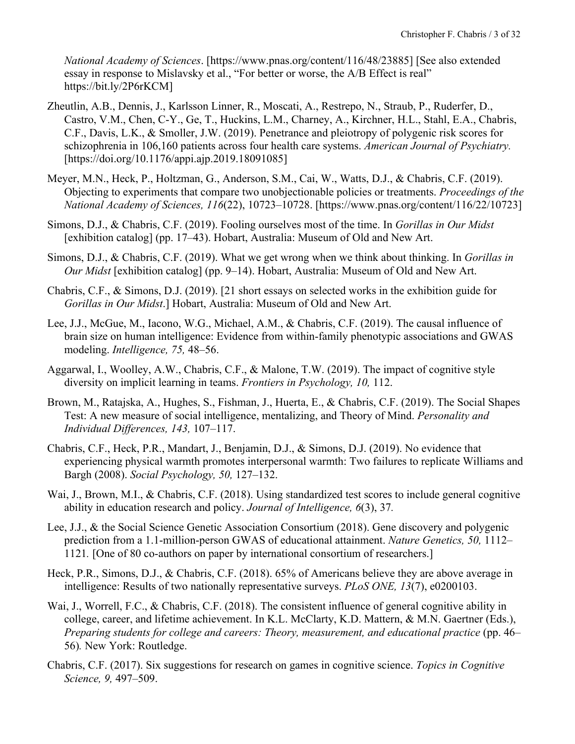*National Academy of Sciences*. [https://www.pnas.org/content/116/48/23885] [See also extended essay in response to Mislavsky et al., "For better or worse, the A/B Effect is real" https://bit.ly/2P6rKCM]

- Zheutlin, A.B., Dennis, J., Karlsson Linner, R., Moscati, A., Restrepo, N., Straub, P., Ruderfer, D., Castro, V.M., Chen, C-Y., Ge, T., Huckins, L.M., Charney, A., Kirchner, H.L., Stahl, E.A., Chabris, C.F., Davis, L.K., & Smoller, J.W. (2019). Penetrance and pleiotropy of polygenic risk scores for schizophrenia in 106,160 patients across four health care systems. *American Journal of Psychiatry.* [https://doi.org/10.1176/appi.ajp.2019.18091085]
- Meyer, M.N., Heck, P., Holtzman, G., Anderson, S.M., Cai, W., Watts, D.J., & Chabris, C.F. (2019). Objecting to experiments that compare two unobjectionable policies or treatments. *Proceedings of the National Academy of Sciences, 116*(22), 10723–10728. [https://www.pnas.org/content/116/22/10723]
- Simons, D.J., & Chabris, C.F. (2019). Fooling ourselves most of the time. In *Gorillas in Our Midst* [exhibition catalog] (pp. 17–43). Hobart, Australia: Museum of Old and New Art.
- Simons, D.J., & Chabris, C.F. (2019). What we get wrong when we think about thinking. In *Gorillas in Our Midst* [exhibition catalog] (pp. 9–14). Hobart, Australia: Museum of Old and New Art.
- Chabris, C.F., & Simons, D.J. (2019). [21 short essays on selected works in the exhibition guide for *Gorillas in Our Midst*.] Hobart, Australia: Museum of Old and New Art.
- Lee, J.J., McGue, M., Iacono, W.G., Michael, A.M., & Chabris, C.F. (2019). The causal influence of brain size on human intelligence: Evidence from within-family phenotypic associations and GWAS modeling. *Intelligence, 75,* 48–56.
- Aggarwal, I., Woolley, A.W., Chabris, C.F., & Malone, T.W. (2019). The impact of cognitive style diversity on implicit learning in teams. *Frontiers in Psychology, 10,* 112.
- Brown, M., Ratajska, A., Hughes, S., Fishman, J., Huerta, E., & Chabris, C.F. (2019). The Social Shapes Test: A new measure of social intelligence, mentalizing, and Theory of Mind. *Personality and Individual Differences, 143,* 107–117.
- Chabris, C.F., Heck, P.R., Mandart, J., Benjamin, D.J., & Simons, D.J. (2019). No evidence that experiencing physical warmth promotes interpersonal warmth: Two failures to replicate Williams and Bargh (2008). *Social Psychology, 50,* 127–132.
- Wai, J., Brown, M.I., & Chabris, C.F. (2018). Using standardized test scores to include general cognitive ability in education research and policy. *Journal of Intelligence, 6*(3), 37*.*
- Lee, J.J., & the Social Science Genetic Association Consortium (2018). Gene discovery and polygenic prediction from a 1.1-million-person GWAS of educational attainment. *Nature Genetics, 50,* 1112– 1121*.* [One of 80 co-authors on paper by international consortium of researchers.]
- Heck, P.R., Simons, D.J., & Chabris, C.F. (2018). 65% of Americans believe they are above average in intelligence: Results of two nationally representative surveys. *PLoS ONE, 13*(7), e0200103.
- Wai, J., Worrell, F.C., & Chabris, C.F. (2018). The consistent influence of general cognitive ability in college, career, and lifetime achievement. In K.L. McClarty, K.D. Mattern, & M.N. Gaertner (Eds.), *Preparing students for college and careers: Theory, measurement, and educational practice* (pp. 46– 56)*.* New York: Routledge.
- Chabris, C.F. (2017). Six suggestions for research on games in cognitive science. *Topics in Cognitive Science, 9,* 497–509.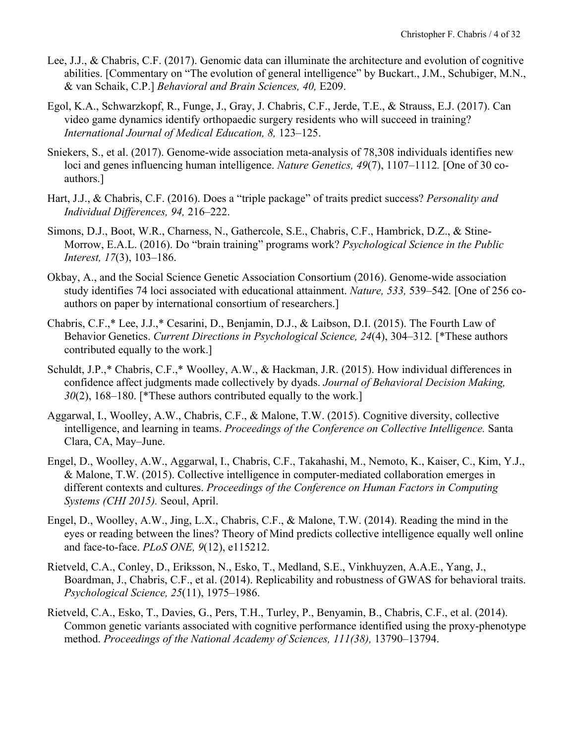- Lee, J.J., & Chabris, C.F. (2017). Genomic data can illuminate the architecture and evolution of cognitive abilities. [Commentary on "The evolution of general intelligence" by Buckart., J.M., Schubiger, M.N., & van Schaik, C.P.] *Behavioral and Brain Sciences, 40,* E209.
- Egol, K.A., Schwarzkopf, R., Funge, J., Gray, J. Chabris, C.F., Jerde, T.E., & Strauss, E.J. (2017). Can video game dynamics identify orthopaedic surgery residents who will succeed in training? *International Journal of Medical Education, 8,* 123–125.
- Sniekers, S., et al. (2017). Genome-wide association meta-analysis of 78,308 individuals identifies new loci and genes influencing human intelligence. *Nature Genetics, 49*(7), 1107–1112*.* [One of 30 coauthors.]
- Hart, J.J., & Chabris, C.F. (2016). Does a "triple package" of traits predict success? *Personality and Individual Differences, 94,* 216–222.
- Simons, D.J., Boot, W.R., Charness, N., Gathercole, S.E., Chabris, C.F., Hambrick, D.Z., & Stine-Morrow, E.A.L. (2016). Do "brain training" programs work? *Psychological Science in the Public Interest, 17*(3), 103–186.
- Okbay, A., and the Social Science Genetic Association Consortium (2016). Genome-wide association study identifies 74 loci associated with educational attainment. *Nature, 533,* 539–542*.* [One of 256 coauthors on paper by international consortium of researchers.]
- Chabris, C.F.,\* Lee, J.J.,\* Cesarini, D., Benjamin, D.J., & Laibson, D.I. (2015). The Fourth Law of Behavior Genetics. *Current Directions in Psychological Science, 24*(4), 304–312*.* [\*These authors contributed equally to the work.]
- Schuldt, J.P.,\* Chabris, C.F.,\* Woolley, A.W., & Hackman, J.R. (2015). How individual differences in confidence affect judgments made collectively by dyads. *Journal of Behavioral Decision Making, 30*(2), 168–180. [\*These authors contributed equally to the work.]
- Aggarwal, I., Woolley, A.W., Chabris, C.F., & Malone, T.W. (2015). Cognitive diversity, collective intelligence, and learning in teams. *Proceedings of the Conference on Collective Intelligence.* Santa Clara, CA, May–June.
- Engel, D., Woolley, A.W., Aggarwal, I., Chabris, C.F., Takahashi, M., Nemoto, K., Kaiser, C., Kim, Y.J., & Malone, T.W. (2015). Collective intelligence in computer-mediated collaboration emerges in different contexts and cultures. *Proceedings of the Conference on Human Factors in Computing Systems (CHI 2015).* Seoul, April.
- Engel, D., Woolley, A.W., Jing, L.X., Chabris, C.F., & Malone, T.W. (2014). Reading the mind in the eyes or reading between the lines? Theory of Mind predicts collective intelligence equally well online and face-to-face. *PLoS ONE, 9*(12), e115212.
- Rietveld, C.A., Conley, D., Eriksson, N., Esko, T., Medland, S.E., Vinkhuyzen, A.A.E., Yang, J., Boardman, J., Chabris, C.F., et al. (2014). Replicability and robustness of GWAS for behavioral traits. *Psychological Science, 25*(11), 1975–1986.
- Rietveld, C.A., Esko, T., Davies, G., Pers, T.H., Turley, P., Benyamin, B., Chabris, C.F., et al. (2014). Common genetic variants associated with cognitive performance identified using the proxy-phenotype method. *Proceedings of the National Academy of Sciences, 111(38),* 13790–13794.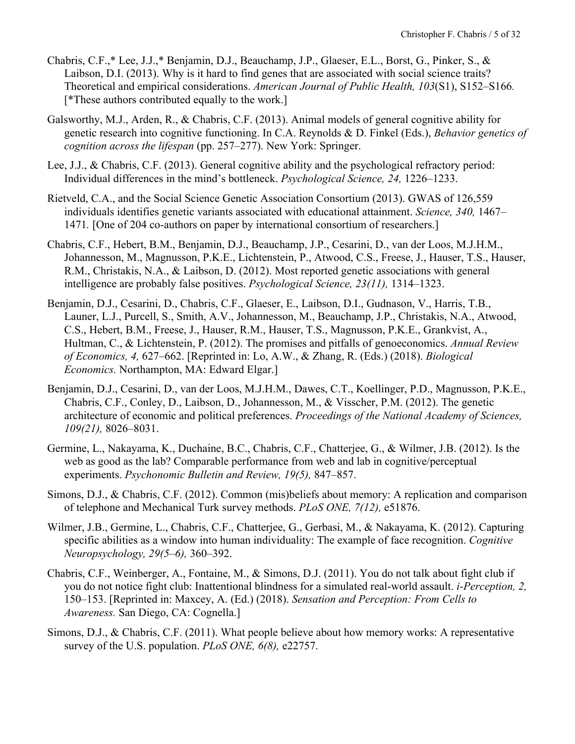- Chabris, C.F.,\* Lee, J.J.,\* Benjamin, D.J., Beauchamp, J.P., Glaeser, E.L., Borst, G., Pinker, S., & Laibson, D.I. (2013). Why is it hard to find genes that are associated with social science traits? Theoretical and empirical considerations. *American Journal of Public Health, 103*(S1), S152–S166*.*  [\*These authors contributed equally to the work.]
- Galsworthy, M.J., Arden, R., & Chabris, C.F. (2013). Animal models of general cognitive ability for genetic research into cognitive functioning. In C.A. Reynolds & D. Finkel (Eds.), *Behavior genetics of cognition across the lifespan* (pp. 257–277). New York: Springer.
- Lee, J.J., & Chabris, C.F. (2013). General cognitive ability and the psychological refractory period: Individual differences in the mind's bottleneck. *Psychological Science, 24,* 1226–1233.
- Rietveld, C.A., and the Social Science Genetic Association Consortium (2013). GWAS of 126,559 individuals identifies genetic variants associated with educational attainment. *Science, 340,* 1467– 1471*.* [One of 204 co-authors on paper by international consortium of researchers.]
- Chabris, C.F., Hebert, B.M., Benjamin, D.J., Beauchamp, J.P., Cesarini, D., van der Loos, M.J.H.M., Johannesson, M., Magnusson, P.K.E., Lichtenstein, P., Atwood, C.S., Freese, J., Hauser, T.S., Hauser, R.M., Christakis, N.A., & Laibson, D. (2012). Most reported genetic associations with general intelligence are probably false positives. *Psychological Science, 23(11),* 1314–1323.
- Benjamin, D.J., Cesarini, D., Chabris, C.F., Glaeser, E., Laibson, D.I., Gudnason, V., Harris, T.B., Launer, L.J., Purcell, S., Smith, A.V., Johannesson, M., Beauchamp, J.P., Christakis, N.A., Atwood, C.S., Hebert, B.M., Freese, J., Hauser, R.M., Hauser, T.S., Magnusson, P.K.E., Grankvist, A., Hultman, C., & Lichtenstein, P. (2012). The promises and pitfalls of genoeconomics. *Annual Review of Economics, 4,* 627–662. [Reprinted in: Lo, A.W., & Zhang, R. (Eds.) (2018). *Biological Economics.* Northampton, MA: Edward Elgar.]
- Benjamin, D.J., Cesarini, D., van der Loos, M.J.H.M., Dawes, C.T., Koellinger, P.D., Magnusson, P.K.E., Chabris, C.F., Conley, D., Laibson, D., Johannesson, M., & Visscher, P.M. (2012). The genetic architecture of economic and political preferences. *Proceedings of the National Academy of Sciences, 109(21),* 8026–8031.
- Germine, L., Nakayama, K., Duchaine, B.C., Chabris, C.F., Chatterjee, G., & Wilmer, J.B. (2012). Is the web as good as the lab? Comparable performance from web and lab in cognitive/perceptual experiments. *Psychonomic Bulletin and Review, 19(5),* 847–857.
- Simons, D.J., & Chabris, C.F. (2012). Common (mis)beliefs about memory: A replication and comparison of telephone and Mechanical Turk survey methods. *PLoS ONE, 7(12),* e51876.
- Wilmer, J.B., Germine, L., Chabris, C.F., Chatterjee, G., Gerbasi, M., & Nakayama, K. (2012). Capturing specific abilities as a window into human individuality: The example of face recognition. *Cognitive Neuropsychology, 29(5–6),* 360–392.
- Chabris, C.F., Weinberger, A., Fontaine, M., & Simons, D.J. (2011). You do not talk about fight club if you do not notice fight club: Inattentional blindness for a simulated real-world assault. *i-Perception, 2,* 150–153. [Reprinted in: Maxcey, A. (Ed.) (2018). *Sensation and Perception: From Cells to Awareness.* San Diego, CA: Cognella.]
- Simons, D.J., & Chabris, C.F. (2011). What people believe about how memory works: A representative survey of the U.S. population. *PLoS ONE, 6(8),* e22757.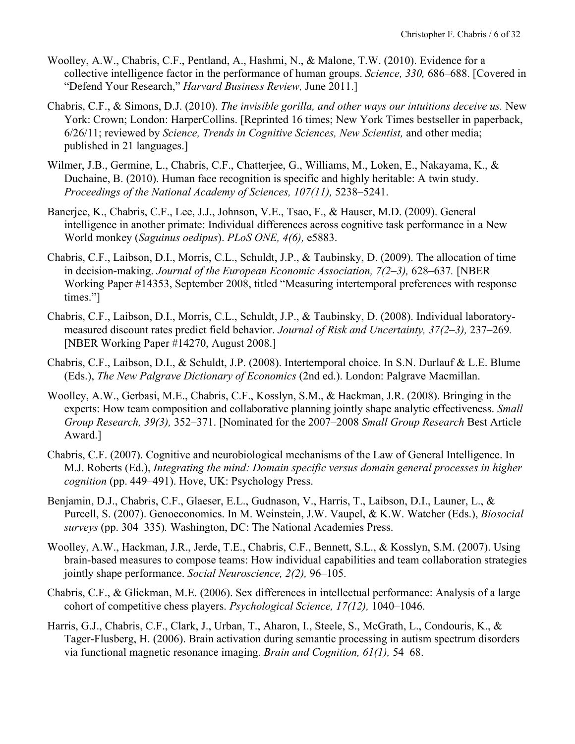- Woolley, A.W., Chabris, C.F., Pentland, A., Hashmi, N., & Malone, T.W. (2010). Evidence for a collective intelligence factor in the performance of human groups. *Science, 330,* 686–688. [Covered in "Defend Your Research," *Harvard Business Review,* June 2011.]
- Chabris, C.F., & Simons, D.J. (2010). *The invisible gorilla, and other ways our intuitions deceive us.* New York: Crown; London: HarperCollins. [Reprinted 16 times; New York Times bestseller in paperback, 6/26/11; reviewed by *Science, Trends in Cognitive Sciences, New Scientist,* and other media; published in 21 languages.]
- Wilmer, J.B., Germine, L., Chabris, C.F., Chatterjee, G., Williams, M., Loken, E., Nakayama, K., & Duchaine, B. (2010). Human face recognition is specific and highly heritable: A twin study. *Proceedings of the National Academy of Sciences, 107(11),* 5238–5241.
- Banerjee, K., Chabris, C.F., Lee, J.J., Johnson, V.E., Tsao, F., & Hauser, M.D. (2009). General intelligence in another primate: Individual differences across cognitive task performance in a New World monkey (*Saguinus oedipus*). *PLoS ONE, 4(6),* e5883.
- Chabris, C.F., Laibson, D.I., Morris, C.L., Schuldt, J.P., & Taubinsky, D. (2009). The allocation of time in decision-making. *Journal of the European Economic Association, 7(2–3),* 628–637*.* [NBER Working Paper #14353, September 2008, titled "Measuring intertemporal preferences with response times."]
- Chabris, C.F., Laibson, D.I., Morris, C.L., Schuldt, J.P., & Taubinsky, D. (2008). Individual laboratorymeasured discount rates predict field behavior. *Journal of Risk and Uncertainty, 37(2–3),* 237–269*.* [NBER Working Paper #14270, August 2008.]
- Chabris, C.F., Laibson, D.I., & Schuldt, J.P. (2008). Intertemporal choice. In S.N. Durlauf & L.E. Blume (Eds.), *The New Palgrave Dictionary of Economics* (2nd ed.). London: Palgrave Macmillan.
- Woolley, A.W., Gerbasi, M.E., Chabris, C.F., Kosslyn, S.M., & Hackman, J.R. (2008). Bringing in the experts: How team composition and collaborative planning jointly shape analytic effectiveness. *Small Group Research, 39(3),* 352–371. [Nominated for the 2007–2008 *Small Group Research* Best Article Award.]
- Chabris, C.F. (2007). Cognitive and neurobiological mechanisms of the Law of General Intelligence. In M.J. Roberts (Ed.), *Integrating the mind: Domain specific versus domain general processes in higher cognition* (pp. 449–491). Hove, UK: Psychology Press.
- Benjamin, D.J., Chabris, C.F., Glaeser, E.L., Gudnason, V., Harris, T., Laibson, D.I., Launer, L., & Purcell, S. (2007). Genoeconomics. In M. Weinstein, J.W. Vaupel, & K.W. Watcher (Eds.), *Biosocial surveys* (pp. 304–335)*.* Washington, DC: The National Academies Press.
- Woolley, A.W., Hackman, J.R., Jerde, T.E., Chabris, C.F., Bennett, S.L., & Kosslyn, S.M. (2007). Using brain-based measures to compose teams: How individual capabilities and team collaboration strategies jointly shape performance. *Social Neuroscience, 2(2),* 96–105.
- Chabris, C.F., & Glickman, M.E. (2006). Sex differences in intellectual performance: Analysis of a large cohort of competitive chess players. *Psychological Science, 17(12),* 1040–1046.
- Harris, G.J., Chabris, C.F., Clark, J., Urban, T., Aharon, I., Steele, S., McGrath, L., Condouris, K., & Tager-Flusberg, H. (2006). Brain activation during semantic processing in autism spectrum disorders via functional magnetic resonance imaging. *Brain and Cognition, 61(1),* 54–68.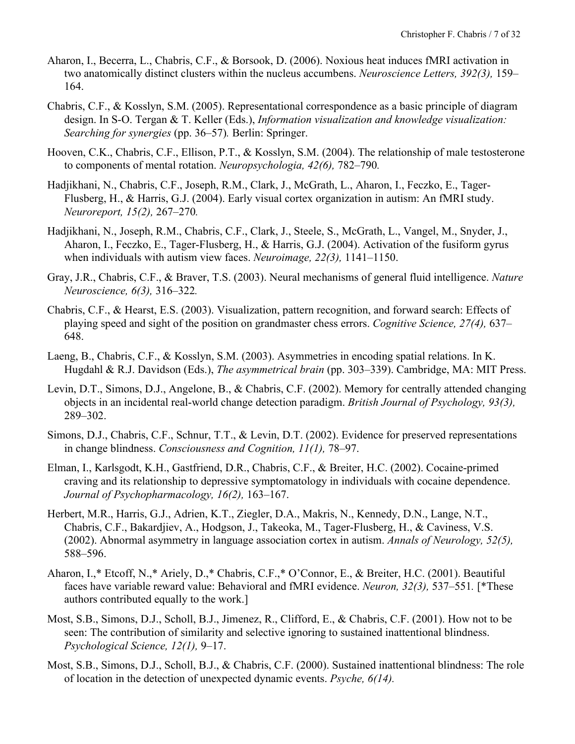- Aharon, I., Becerra, L., Chabris, C.F., & Borsook, D. (2006). Noxious heat induces fMRI activation in two anatomically distinct clusters within the nucleus accumbens. *Neuroscience Letters, 392(3),* 159– 164.
- Chabris, C.F., & Kosslyn, S.M. (2005). Representational correspondence as a basic principle of diagram design. In S-O. Tergan & T. Keller (Eds.), *Information visualization and knowledge visualization: Searching for synergies* (pp. 36–57)*.* Berlin: Springer.
- Hooven, C.K., Chabris, C.F., Ellison, P.T., & Kosslyn, S.M. (2004). The relationship of male testosterone to components of mental rotation. *Neuropsychologia, 42(6),* 782–790*.*
- Hadjikhani, N., Chabris, C.F., Joseph, R.M., Clark, J., McGrath, L., Aharon, I., Feczko, E., Tager-Flusberg, H., & Harris, G.J. (2004). Early visual cortex organization in autism: An fMRI study. *Neuroreport, 15(2),* 267–270*.*
- Hadjikhani, N., Joseph, R.M., Chabris, C.F., Clark, J., Steele, S., McGrath, L., Vangel, M., Snyder, J., Aharon, I., Feczko, E., Tager-Flusberg, H., & Harris, G.J. (2004). Activation of the fusiform gyrus when individuals with autism view faces. *Neuroimage, 22(3),* 1141–1150.
- Gray, J.R., Chabris, C.F., & Braver, T.S. (2003). Neural mechanisms of general fluid intelligence. *Nature Neuroscience, 6(3),* 316–322*.*
- Chabris, C.F., & Hearst, E.S. (2003). Visualization, pattern recognition, and forward search: Effects of playing speed and sight of the position on grandmaster chess errors. *Cognitive Science, 27(4),* 637– 648.
- Laeng, B., Chabris, C.F., & Kosslyn, S.M. (2003). Asymmetries in encoding spatial relations. In K. Hugdahl & R.J. Davidson (Eds.), *The asymmetrical brain* (pp. 303–339). Cambridge, MA: MIT Press.
- Levin, D.T., Simons, D.J., Angelone, B., & Chabris, C.F. (2002). Memory for centrally attended changing objects in an incidental real-world change detection paradigm. *British Journal of Psychology, 93(3),* 289–302.
- Simons, D.J., Chabris, C.F., Schnur, T.T., & Levin, D.T. (2002). Evidence for preserved representations in change blindness. *Consciousness and Cognition, 11(1),* 78–97.
- Elman, I., Karlsgodt, K.H., Gastfriend, D.R., Chabris, C.F., & Breiter, H.C. (2002). Cocaine-primed craving and its relationship to depressive symptomatology in individuals with cocaine dependence. *Journal of Psychopharmacology, 16(2),* 163–167.
- Herbert, M.R., Harris, G.J., Adrien, K.T., Ziegler, D.A., Makris, N., Kennedy, D.N., Lange, N.T., Chabris, C.F., Bakardjiev, A., Hodgson, J., Takeoka, M., Tager-Flusberg, H., & Caviness, V.S. (2002). Abnormal asymmetry in language association cortex in autism. *Annals of Neurology, 52(5),* 588–596.
- Aharon, I.,\* Etcoff, N.,\* Ariely, D.,\* Chabris, C.F.,\* O'Connor, E., & Breiter, H.C. (2001). Beautiful faces have variable reward value: Behavioral and fMRI evidence. *Neuron, 32(3),* 537–551*.* [\*These authors contributed equally to the work.]
- Most, S.B., Simons, D.J., Scholl, B.J., Jimenez, R., Clifford, E., & Chabris, C.F. (2001). How not to be seen: The contribution of similarity and selective ignoring to sustained inattentional blindness. *Psychological Science, 12(1),* 9–17.
- Most, S.B., Simons, D.J., Scholl, B.J., & Chabris, C.F. (2000). Sustained inattentional blindness: The role of location in the detection of unexpected dynamic events. *Psyche, 6(14).*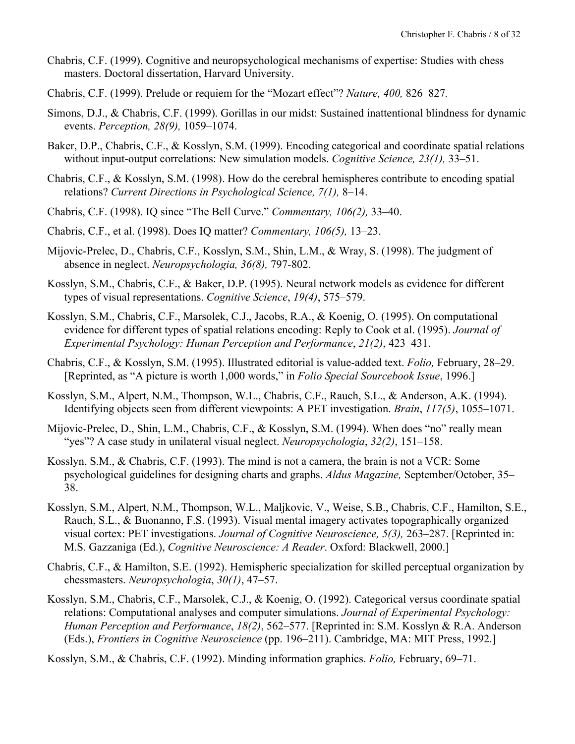- Chabris, C.F. (1999). Cognitive and neuropsychological mechanisms of expertise: Studies with chess masters. Doctoral dissertation, Harvard University.
- Chabris, C.F. (1999). Prelude or requiem for the "Mozart effect"? *Nature, 400,* 826–827*.*
- Simons, D.J., & Chabris, C.F. (1999). Gorillas in our midst: Sustained inattentional blindness for dynamic events. *Perception, 28(9),* 1059–1074.
- Baker, D.P., Chabris, C.F., & Kosslyn, S.M. (1999). Encoding categorical and coordinate spatial relations without input-output correlations: New simulation models. *Cognitive Science, 23(1),* 33–51.
- Chabris, C.F., & Kosslyn, S.M. (1998). How do the cerebral hemispheres contribute to encoding spatial relations? *Current Directions in Psychological Science, 7(1),* 8–14.
- Chabris, C.F. (1998). IQ since "The Bell Curve." *Commentary, 106(2),* 33–40.
- Chabris, C.F., et al. (1998). Does IQ matter? *Commentary, 106(5),* 13–23.
- Mijovic-Prelec, D., Chabris, C.F., Kosslyn, S.M., Shin, L.M., & Wray, S. (1998). The judgment of absence in neglect. *Neuropsychologia, 36(8),* 797-802.
- Kosslyn, S.M., Chabris, C.F., & Baker, D.P. (1995). Neural network models as evidence for different types of visual representations. *Cognitive Science*, *19(4)*, 575–579.
- Kosslyn, S.M., Chabris, C.F., Marsolek, C.J., Jacobs, R.A., & Koenig, O. (1995). On computational evidence for different types of spatial relations encoding: Reply to Cook et al. (1995). *Journal of Experimental Psychology: Human Perception and Performance*, *21(2)*, 423–431.
- Chabris, C.F., & Kosslyn, S.M. (1995). Illustrated editorial is value-added text. *Folio,* February, 28–29. [Reprinted, as "A picture is worth 1,000 words," in *Folio Special Sourcebook Issue*, 1996.]
- Kosslyn, S.M., Alpert, N.M., Thompson, W.L., Chabris, C.F., Rauch, S.L., & Anderson, A.K. (1994). Identifying objects seen from different viewpoints: A PET investigation. *Brain*, *117(5)*, 1055–1071.
- Mijovic-Prelec, D., Shin, L.M., Chabris, C.F., & Kosslyn, S.M. (1994). When does "no" really mean "yes"? A case study in unilateral visual neglect. *Neuropsychologia*, *32(2)*, 151–158.
- Kosslyn, S.M., & Chabris, C.F. (1993). The mind is not a camera, the brain is not a VCR: Some psychological guidelines for designing charts and graphs. *Aldus Magazine,* September/October, 35– 38.
- Kosslyn, S.M., Alpert, N.M., Thompson, W.L., Maljkovic, V., Weise, S.B., Chabris, C.F., Hamilton, S.E., Rauch, S.L., & Buonanno, F.S. (1993). Visual mental imagery activates topographically organized visual cortex: PET investigations. *Journal of Cognitive Neuroscience, 5(3),* 263–287. [Reprinted in: M.S. Gazzaniga (Ed.), *Cognitive Neuroscience: A Reader*. Oxford: Blackwell, 2000.]
- Chabris, C.F., & Hamilton, S.E. (1992). Hemispheric specialization for skilled perceptual organization by chessmasters. *Neuropsychologia*, *30(1)*, 47–57.
- Kosslyn, S.M., Chabris, C.F., Marsolek, C.J., & Koenig, O. (1992). Categorical versus coordinate spatial relations: Computational analyses and computer simulations. *Journal of Experimental Psychology: Human Perception and Performance*, *18(2)*, 562–577. [Reprinted in: S.M. Kosslyn & R.A. Anderson (Eds.), *Frontiers in Cognitive Neuroscience* (pp. 196–211). Cambridge, MA: MIT Press, 1992.]

Kosslyn, S.M., & Chabris, C.F. (1992). Minding information graphics. *Folio,* February, 69–71.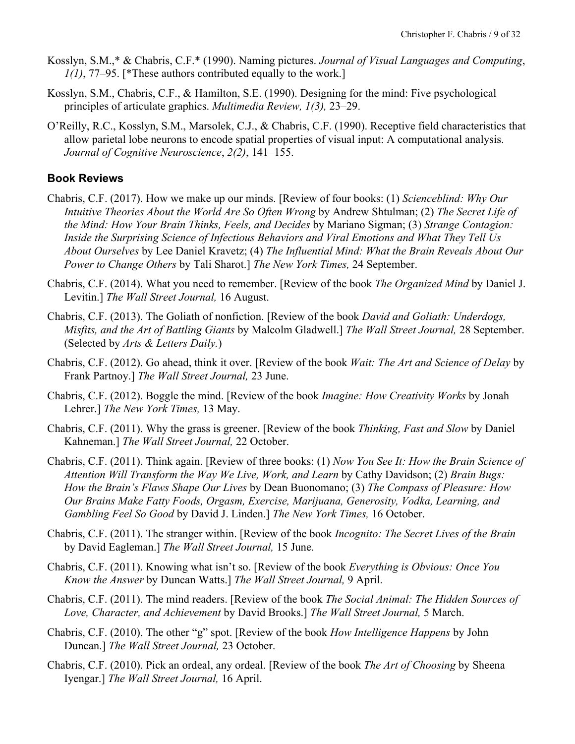- Kosslyn, S.M.,\* & Chabris, C.F.\* (1990). Naming pictures. *Journal of Visual Languages and Computing*, *1(1)*, 77–95. [\*These authors contributed equally to the work.]
- Kosslyn, S.M., Chabris, C.F., & Hamilton, S.E. (1990). Designing for the mind: Five psychological principles of articulate graphics. *Multimedia Review, 1(3),* 23–29.
- O'Reilly, R.C., Kosslyn, S.M., Marsolek, C.J., & Chabris, C.F. (1990). Receptive field characteristics that allow parietal lobe neurons to encode spatial properties of visual input: A computational analysis. *Journal of Cognitive Neuroscience*, *2(2)*, 141–155.

# **Book Reviews**

- Chabris, C.F. (2017). How we make up our minds. [Review of four books: (1) *Scienceblind: Why Our Intuitive Theories About the World Are So Often Wrong* by Andrew Shtulman; (2) *The Secret Life of the Mind: How Your Brain Thinks, Feels, and Decides* by Mariano Sigman; (3) *Strange Contagion: Inside the Surprising Science of Infectious Behaviors and Viral Emotions and What They Tell Us About Ourselves* by Lee Daniel Kravetz; (4) *The Influential Mind: What the Brain Reveals About Our Power to Change Others* by Tali Sharot.] *The New York Times,* 24 September.
- Chabris, C.F. (2014). What you need to remember. [Review of the book *The Organized Mind* by Daniel J. Levitin.] *The Wall Street Journal,* 16 August.
- Chabris, C.F. (2013). The Goliath of nonfiction. [Review of the book *David and Goliath: Underdogs, Misfits, and the Art of Battling Giants* by Malcolm Gladwell.] *The Wall Street Journal,* 28 September. (Selected by *Arts & Letters Daily.*)
- Chabris, C.F. (2012). Go ahead, think it over. [Review of the book *Wait: The Art and Science of Delay* by Frank Partnoy.] *The Wall Street Journal,* 23 June.
- Chabris, C.F. (2012). Boggle the mind. [Review of the book *Imagine: How Creativity Works* by Jonah Lehrer.] *The New York Times,* 13 May.
- Chabris, C.F. (2011). Why the grass is greener. [Review of the book *Thinking, Fast and Slow* by Daniel Kahneman.] *The Wall Street Journal,* 22 October.
- Chabris, C.F. (2011). Think again. [Review of three books: (1) *Now You See It: How the Brain Science of Attention Will Transform the Way We Live, Work, and Learn* by Cathy Davidson; (2) *Brain Bugs: How the Brain's Flaws Shape Our Lives* by Dean Buonomano; (3) *The Compass of Pleasure: How Our Brains Make Fatty Foods, Orgasm, Exercise, Marijuana, Generosity, Vodka, Learning, and Gambling Feel So Good* by David J. Linden.] *The New York Times,* 16 October.
- Chabris, C.F. (2011). The stranger within. [Review of the book *Incognito: The Secret Lives of the Brain* by David Eagleman.] *The Wall Street Journal,* 15 June.
- Chabris, C.F. (2011). Knowing what isn't so. [Review of the book *Everything is Obvious: Once You Know the Answer* by Duncan Watts.] *The Wall Street Journal,* 9 April.
- Chabris, C.F. (2011). The mind readers. [Review of the book *The Social Animal: The Hidden Sources of Love, Character, and Achievement* by David Brooks.] *The Wall Street Journal,* 5 March.
- Chabris, C.F. (2010). The other "g" spot. [Review of the book *How Intelligence Happens* by John Duncan.] *The Wall Street Journal,* 23 October.
- Chabris, C.F. (2010). Pick an ordeal, any ordeal. [Review of the book *The Art of Choosing* by Sheena Iyengar.] *The Wall Street Journal,* 16 April.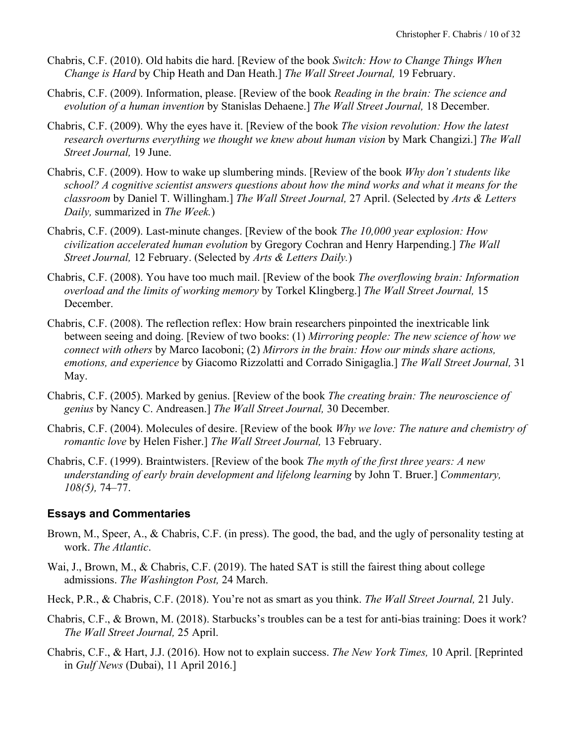- Chabris, C.F. (2010). Old habits die hard. [Review of the book *Switch: How to Change Things When Change is Hard* by Chip Heath and Dan Heath.] *The Wall Street Journal,* 19 February.
- Chabris, C.F. (2009). Information, please. [Review of the book *Reading in the brain: The science and evolution of a human invention* by Stanislas Dehaene.] *The Wall Street Journal,* 18 December.
- Chabris, C.F. (2009). Why the eyes have it. [Review of the book *The vision revolution: How the latest research overturns everything we thought we knew about human vision* by Mark Changizi.] *The Wall Street Journal,* 19 June.
- Chabris, C.F. (2009). How to wake up slumbering minds. [Review of the book *Why don't students like school? A cognitive scientist answers questions about how the mind works and what it means for the classroom* by Daniel T. Willingham.] *The Wall Street Journal,* 27 April. (Selected by *Arts & Letters Daily,* summarized in *The Week.*)
- Chabris, C.F. (2009). Last-minute changes. [Review of the book *The 10,000 year explosion: How civilization accelerated human evolution* by Gregory Cochran and Henry Harpending.] *The Wall Street Journal,* 12 February. (Selected by *Arts & Letters Daily.*)
- Chabris, C.F. (2008). You have too much mail. [Review of the book *The overflowing brain: Information overload and the limits of working memory* by Torkel Klingberg.] *The Wall Street Journal,* 15 December.
- Chabris, C.F. (2008). The reflection reflex: How brain researchers pinpointed the inextricable link between seeing and doing. [Review of two books: (1) *Mirroring people: The new science of how we connect with others* by Marco Iacoboni; (2) *Mirrors in the brain: How our minds share actions, emotions, and experience* by Giacomo Rizzolatti and Corrado Sinigaglia.] *The Wall Street Journal,* 31 May.
- Chabris, C.F. (2005). Marked by genius. [Review of the book *The creating brain: The neuroscience of genius* by Nancy C. Andreasen.] *The Wall Street Journal,* 30 December*.*
- Chabris, C.F. (2004). Molecules of desire. [Review of the book *Why we love: The nature and chemistry of romantic love* by Helen Fisher.] *The Wall Street Journal,* 13 February.
- Chabris, C.F. (1999). Braintwisters. [Review of the book *The myth of the first three years: A new understanding of early brain development and lifelong learning* by John T. Bruer.] *Commentary, 108(5),* 74–77.

# **Essays and Commentaries**

- Brown, M., Speer, A., & Chabris, C.F. (in press). The good, the bad, and the ugly of personality testing at work. *The Atlantic*.
- Wai, J., Brown, M., & Chabris, C.F. (2019). The hated SAT is still the fairest thing about college admissions. *The Washington Post,* 24 March.
- Heck, P.R., & Chabris, C.F. (2018). You're not as smart as you think. *The Wall Street Journal,* 21 July.
- Chabris, C.F., & Brown, M. (2018). Starbucks's troubles can be a test for anti-bias training: Does it work? *The Wall Street Journal,* 25 April.
- Chabris, C.F., & Hart, J.J. (2016). How not to explain success. *The New York Times,* 10 April. [Reprinted in *Gulf News* (Dubai), 11 April 2016.]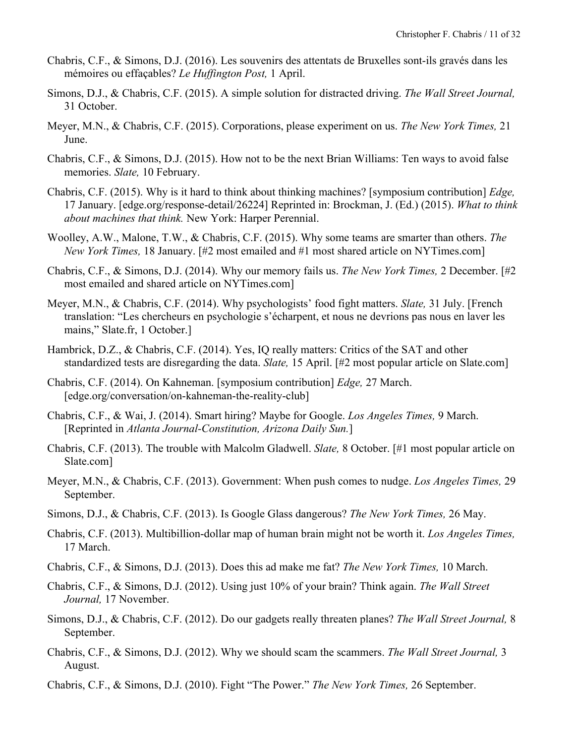- Chabris, C.F., & Simons, D.J. (2016). Les souvenirs des attentats de Bruxelles sont-ils gravés dans les mémoires ou effaçables? *Le Huffington Post,* 1 April.
- Simons, D.J., & Chabris, C.F. (2015). A simple solution for distracted driving. *The Wall Street Journal,* 31 October.
- Meyer, M.N., & Chabris, C.F. (2015). Corporations, please experiment on us. *The New York Times,* 21 June.
- Chabris, C.F., & Simons, D.J. (2015). How not to be the next Brian Williams: Ten ways to avoid false memories. *Slate,* 10 February.
- Chabris, C.F. (2015). Why is it hard to think about thinking machines? [symposium contribution] *Edge,* 17 January. [edge.org/response-detail/26224] Reprinted in: Brockman, J. (Ed.) (2015). *What to think about machines that think.* New York: Harper Perennial.
- Woolley, A.W., Malone, T.W., & Chabris, C.F. (2015). Why some teams are smarter than others. *The New York Times,* 18 January. [#2 most emailed and #1 most shared article on NYTimes.com]
- Chabris, C.F., & Simons, D.J. (2014). Why our memory fails us. *The New York Times,* 2 December. [#2 most emailed and shared article on NYTimes.com]
- Meyer, M.N., & Chabris, C.F. (2014). Why psychologists' food fight matters. *Slate,* 31 July. [French translation: "Les chercheurs en psychologie s'écharpent, et nous ne devrions pas nous en laver les mains," Slate.fr, 1 October.]
- Hambrick, D.Z., & Chabris, C.F. (2014). Yes, IQ really matters: Critics of the SAT and other standardized tests are disregarding the data. *Slate,* 15 April. [#2 most popular article on Slate.com]
- Chabris, C.F. (2014). On Kahneman. [symposium contribution] *Edge,* 27 March. [edge.org/conversation/on-kahneman-the-reality-club]
- Chabris, C.F., & Wai, J. (2014). Smart hiring? Maybe for Google. *Los Angeles Times,* 9 March. [Reprinted in *Atlanta Journal-Constitution, Arizona Daily Sun.*]
- Chabris, C.F. (2013). The trouble with Malcolm Gladwell. *Slate,* 8 October. [#1 most popular article on Slate.com]
- Meyer, M.N., & Chabris, C.F. (2013). Government: When push comes to nudge. *Los Angeles Times,* 29 September.
- Simons, D.J., & Chabris, C.F. (2013). Is Google Glass dangerous? *The New York Times,* 26 May.
- Chabris, C.F. (2013). Multibillion-dollar map of human brain might not be worth it. *Los Angeles Times,* 17 March.
- Chabris, C.F., & Simons, D.J. (2013). Does this ad make me fat? *The New York Times,* 10 March.
- Chabris, C.F., & Simons, D.J. (2012). Using just 10% of your brain? Think again. *The Wall Street Journal,* 17 November.
- Simons, D.J., & Chabris, C.F. (2012). Do our gadgets really threaten planes? *The Wall Street Journal,* 8 September.
- Chabris, C.F., & Simons, D.J. (2012). Why we should scam the scammers. *The Wall Street Journal,* 3 August.
- Chabris, C.F., & Simons, D.J. (2010). Fight "The Power." *The New York Times,* 26 September.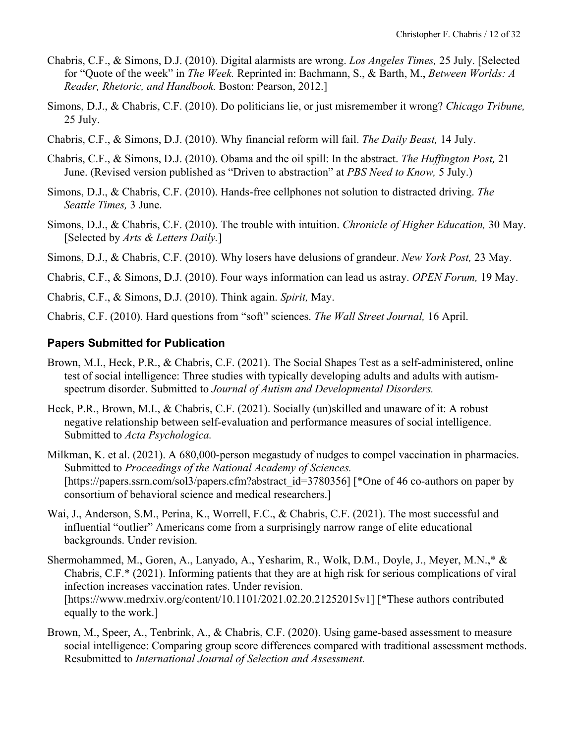- Chabris, C.F., & Simons, D.J. (2010). Digital alarmists are wrong. *Los Angeles Times,* 25 July. [Selected for "Quote of the week" in *The Week.* Reprinted in: Bachmann, S., & Barth, M., *Between Worlds: A Reader, Rhetoric, and Handbook.* Boston: Pearson, 2012.]
- Simons, D.J., & Chabris, C.F. (2010). Do politicians lie, or just misremember it wrong? *Chicago Tribune,* 25 July.
- Chabris, C.F., & Simons, D.J. (2010). Why financial reform will fail. *The Daily Beast,* 14 July.
- Chabris, C.F., & Simons, D.J. (2010). Obama and the oil spill: In the abstract. *The Huffington Post,* 21 June. (Revised version published as "Driven to abstraction" at *PBS Need to Know,* 5 July.)
- Simons, D.J., & Chabris, C.F. (2010). Hands-free cellphones not solution to distracted driving. *The Seattle Times,* 3 June.
- Simons, D.J., & Chabris, C.F. (2010). The trouble with intuition. *Chronicle of Higher Education,* 30 May. [Selected by *Arts & Letters Daily.*]
- Simons, D.J., & Chabris, C.F. (2010). Why losers have delusions of grandeur. *New York Post,* 23 May.

Chabris, C.F., & Simons, D.J. (2010). Four ways information can lead us astray. *OPEN Forum,* 19 May.

Chabris, C.F., & Simons, D.J. (2010). Think again. *Spirit,* May.

Chabris, C.F. (2010). Hard questions from "soft" sciences. *The Wall Street Journal,* 16 April.

### **Papers Submitted for Publication**

- Brown, M.I., Heck, P.R., & Chabris, C.F. (2021). The Social Shapes Test as a self-administered, online test of social intelligence: Three studies with typically developing adults and adults with autismspectrum disorder. Submitted to *Journal of Autism and Developmental Disorders.*
- Heck, P.R., Brown, M.I., & Chabris, C.F. (2021). Socially (un)skilled and unaware of it: A robust negative relationship between self-evaluation and performance measures of social intelligence. Submitted to *Acta Psychologica.*
- Milkman, K. et al. (2021). A 680,000-person megastudy of nudges to compel vaccination in pharmacies. Submitted to *Proceedings of the National Academy of Sciences.* [https://papers.ssrn.com/sol3/papers.cfm?abstract\_id=3780356] [\*One of 46 co-authors on paper by consortium of behavioral science and medical researchers.]
- Wai, J., Anderson, S.M., Perina, K., Worrell, F.C., & Chabris, C.F. (2021). The most successful and influential "outlier" Americans come from a surprisingly narrow range of elite educational backgrounds. Under revision.
- Shermohammed, M., Goren, A., Lanyado, A., Yesharim, R., Wolk, D.M., Doyle, J., Meyer, M.N.,\* & Chabris, C.F.\* (2021). Informing patients that they are at high risk for serious complications of viral infection increases vaccination rates. Under revision. [https://www.medrxiv.org/content/10.1101/2021.02.20.21252015v1] [\*These authors contributed equally to the work.]
- Brown, M., Speer, A., Tenbrink, A., & Chabris, C.F. (2020). Using game-based assessment to measure social intelligence: Comparing group score differences compared with traditional assessment methods. Resubmitted to *International Journal of Selection and Assessment.*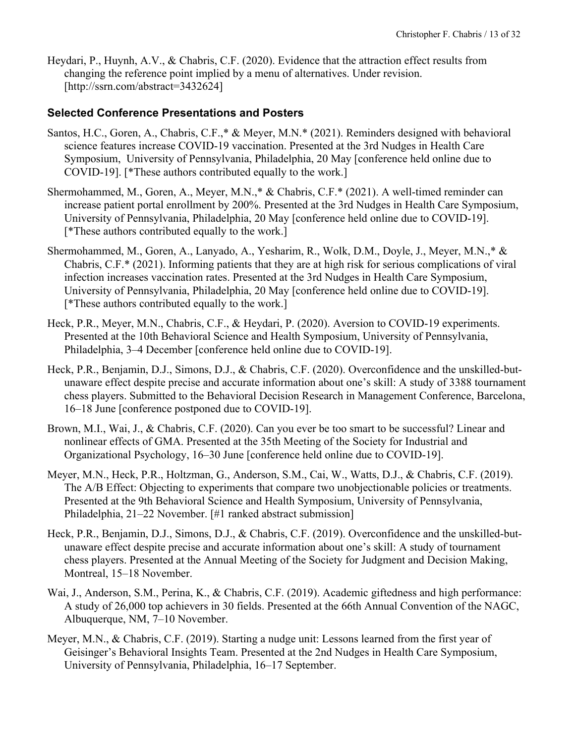Heydari, P., Huynh, A.V., & Chabris, C.F. (2020). Evidence that the attraction effect results from changing the reference point implied by a menu of alternatives. Under revision. [http://ssrn.com/abstract=3432624]

### **Selected Conference Presentations and Posters**

- Santos, H.C., Goren, A., Chabris, C.F.,\* & Meyer, M.N.\* (2021). Reminders designed with behavioral science features increase COVID-19 vaccination. Presented at the 3rd Nudges in Health Care Symposium, University of Pennsylvania, Philadelphia, 20 May [conference held online due to COVID-19]. [\*These authors contributed equally to the work.]
- Shermohammed, M., Goren, A., Meyer, M.N.,\* & Chabris, C.F.\* (2021). A well-timed reminder can increase patient portal enrollment by 200%. Presented at the 3rd Nudges in Health Care Symposium, University of Pennsylvania, Philadelphia, 20 May [conference held online due to COVID-19]. [\*These authors contributed equally to the work.]
- Shermohammed, M., Goren, A., Lanyado, A., Yesharim, R., Wolk, D.M., Doyle, J., Meyer, M.N.,\* & Chabris, C.F.\* (2021). Informing patients that they are at high risk for serious complications of viral infection increases vaccination rates. Presented at the 3rd Nudges in Health Care Symposium, University of Pennsylvania, Philadelphia, 20 May [conference held online due to COVID-19]. [\*These authors contributed equally to the work.]
- Heck, P.R., Meyer, M.N., Chabris, C.F., & Heydari, P. (2020). Aversion to COVID-19 experiments. Presented at the 10th Behavioral Science and Health Symposium, University of Pennsylvania, Philadelphia, 3–4 December [conference held online due to COVID-19].
- Heck, P.R., Benjamin, D.J., Simons, D.J., & Chabris, C.F. (2020). Overconfidence and the unskilled-butunaware effect despite precise and accurate information about one's skill: A study of 3388 tournament chess players. Submitted to the Behavioral Decision Research in Management Conference, Barcelona, 16–18 June [conference postponed due to COVID-19].
- Brown, M.I., Wai, J., & Chabris, C.F. (2020). Can you ever be too smart to be successful? Linear and nonlinear effects of GMA. Presented at the 35th Meeting of the Society for Industrial and Organizational Psychology, 16–30 June [conference held online due to COVID-19].
- Meyer, M.N., Heck, P.R., Holtzman, G., Anderson, S.M., Cai, W., Watts, D.J., & Chabris, C.F. (2019). The A/B Effect: Objecting to experiments that compare two unobjectionable policies or treatments. Presented at the 9th Behavioral Science and Health Symposium, University of Pennsylvania, Philadelphia, 21–22 November. [#1 ranked abstract submission]
- Heck, P.R., Benjamin, D.J., Simons, D.J., & Chabris, C.F. (2019). Overconfidence and the unskilled-butunaware effect despite precise and accurate information about one's skill: A study of tournament chess players. Presented at the Annual Meeting of the Society for Judgment and Decision Making, Montreal, 15–18 November.
- Wai, J., Anderson, S.M., Perina, K., & Chabris, C.F. (2019). Academic giftedness and high performance: A study of 26,000 top achievers in 30 fields. Presented at the 66th Annual Convention of the NAGC, Albuquerque, NM, 7–10 November.
- Meyer, M.N., & Chabris, C.F. (2019). Starting a nudge unit: Lessons learned from the first year of Geisinger's Behavioral Insights Team. Presented at the 2nd Nudges in Health Care Symposium, University of Pennsylvania, Philadelphia, 16–17 September.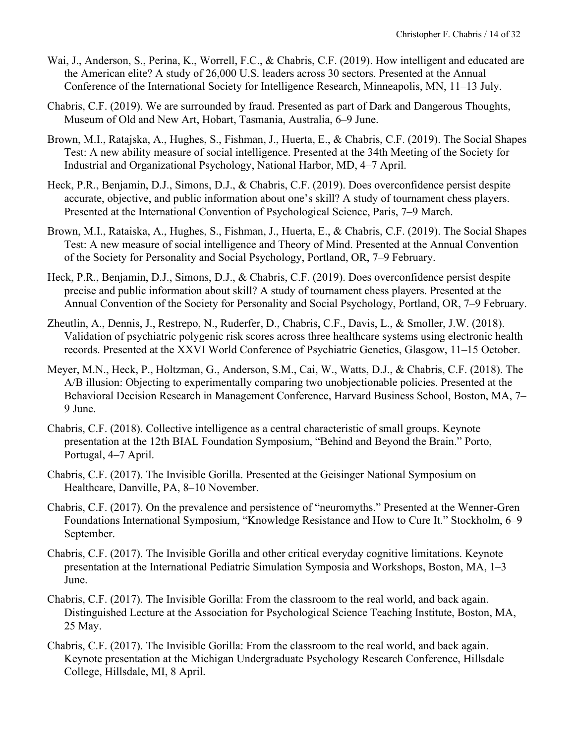- Wai, J., Anderson, S., Perina, K., Worrell, F.C., & Chabris, C.F. (2019). How intelligent and educated are the American elite? A study of 26,000 U.S. leaders across 30 sectors. Presented at the Annual Conference of the International Society for Intelligence Research, Minneapolis, MN, 11–13 July.
- Chabris, C.F. (2019). We are surrounded by fraud. Presented as part of Dark and Dangerous Thoughts, Museum of Old and New Art, Hobart, Tasmania, Australia, 6–9 June.
- Brown, M.I., Ratajska, A., Hughes, S., Fishman, J., Huerta, E., & Chabris, C.F. (2019). The Social Shapes Test: A new ability measure of social intelligence. Presented at the 34th Meeting of the Society for Industrial and Organizational Psychology, National Harbor, MD, 4–7 April.
- Heck, P.R., Benjamin, D.J., Simons, D.J., & Chabris, C.F. (2019). Does overconfidence persist despite accurate, objective, and public information about one's skill? A study of tournament chess players. Presented at the International Convention of Psychological Science, Paris, 7–9 March.
- Brown, M.I., Rataiska, A., Hughes, S., Fishman, J., Huerta, E., & Chabris, C.F. (2019). The Social Shapes Test: A new measure of social intelligence and Theory of Mind. Presented at the Annual Convention of the Society for Personality and Social Psychology, Portland, OR, 7–9 February.
- Heck, P.R., Benjamin, D.J., Simons, D.J., & Chabris, C.F. (2019). Does overconfidence persist despite precise and public information about skill? A study of tournament chess players. Presented at the Annual Convention of the Society for Personality and Social Psychology, Portland, OR, 7–9 February.
- Zheutlin, A., Dennis, J., Restrepo, N., Ruderfer, D., Chabris, C.F., Davis, L., & Smoller, J.W. (2018). Validation of psychiatric polygenic risk scores across three healthcare systems using electronic health records. Presented at the XXVI World Conference of Psychiatric Genetics, Glasgow, 11–15 October.
- Meyer, M.N., Heck, P., Holtzman, G., Anderson, S.M., Cai, W., Watts, D.J., & Chabris, C.F. (2018). The A/B illusion: Objecting to experimentally comparing two unobjectionable policies. Presented at the Behavioral Decision Research in Management Conference, Harvard Business School, Boston, MA, 7– 9 June.
- Chabris, C.F. (2018). Collective intelligence as a central characteristic of small groups. Keynote presentation at the 12th BIAL Foundation Symposium, "Behind and Beyond the Brain." Porto, Portugal, 4–7 April.
- Chabris, C.F. (2017). The Invisible Gorilla. Presented at the Geisinger National Symposium on Healthcare, Danville, PA, 8–10 November.
- Chabris, C.F. (2017). On the prevalence and persistence of "neuromyths." Presented at the Wenner-Gren Foundations International Symposium, "Knowledge Resistance and How to Cure It." Stockholm, 6–9 September.
- Chabris, C.F. (2017). The Invisible Gorilla and other critical everyday cognitive limitations. Keynote presentation at the International Pediatric Simulation Symposia and Workshops, Boston, MA, 1–3 June.
- Chabris, C.F. (2017). The Invisible Gorilla: From the classroom to the real world, and back again. Distinguished Lecture at the Association for Psychological Science Teaching Institute, Boston, MA, 25 May.
- Chabris, C.F. (2017). The Invisible Gorilla: From the classroom to the real world, and back again. Keynote presentation at the Michigan Undergraduate Psychology Research Conference, Hillsdale College, Hillsdale, MI, 8 April.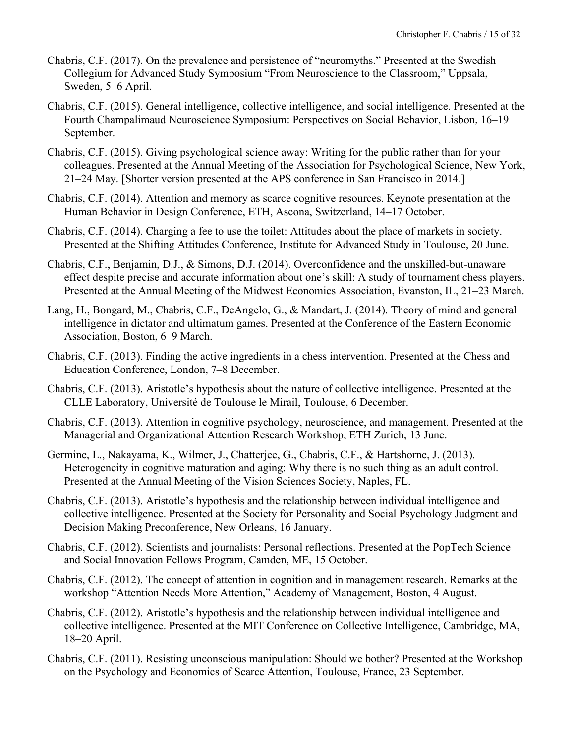- Chabris, C.F. (2017). On the prevalence and persistence of "neuromyths." Presented at the Swedish Collegium for Advanced Study Symposium "From Neuroscience to the Classroom," Uppsala, Sweden, 5–6 April.
- Chabris, C.F. (2015). General intelligence, collective intelligence, and social intelligence. Presented at the Fourth Champalimaud Neuroscience Symposium: Perspectives on Social Behavior, Lisbon, 16–19 September.
- Chabris, C.F. (2015). Giving psychological science away: Writing for the public rather than for your colleagues. Presented at the Annual Meeting of the Association for Psychological Science, New York, 21–24 May. [Shorter version presented at the APS conference in San Francisco in 2014.]
- Chabris, C.F. (2014). Attention and memory as scarce cognitive resources. Keynote presentation at the Human Behavior in Design Conference, ETH, Ascona, Switzerland, 14–17 October.
- Chabris, C.F. (2014). Charging a fee to use the toilet: Attitudes about the place of markets in society. Presented at the Shifting Attitudes Conference, Institute for Advanced Study in Toulouse, 20 June.
- Chabris, C.F., Benjamin, D.J., & Simons, D.J. (2014). Overconfidence and the unskilled-but-unaware effect despite precise and accurate information about one's skill: A study of tournament chess players. Presented at the Annual Meeting of the Midwest Economics Association, Evanston, IL, 21–23 March.
- Lang, H., Bongard, M., Chabris, C.F., DeAngelo, G., & Mandart, J. (2014). Theory of mind and general intelligence in dictator and ultimatum games. Presented at the Conference of the Eastern Economic Association, Boston, 6–9 March.
- Chabris, C.F. (2013). Finding the active ingredients in a chess intervention. Presented at the Chess and Education Conference, London, 7–8 December.
- Chabris, C.F. (2013). Aristotle's hypothesis about the nature of collective intelligence. Presented at the CLLE Laboratory, Université de Toulouse le Mirail, Toulouse, 6 December.
- Chabris, C.F. (2013). Attention in cognitive psychology, neuroscience, and management. Presented at the Managerial and Organizational Attention Research Workshop, ETH Zurich, 13 June.
- Germine, L., Nakayama, K., Wilmer, J., Chatterjee, G., Chabris, C.F., & Hartshorne, J. (2013). Heterogeneity in cognitive maturation and aging: Why there is no such thing as an adult control. Presented at the Annual Meeting of the Vision Sciences Society, Naples, FL.
- Chabris, C.F. (2013). Aristotle's hypothesis and the relationship between individual intelligence and collective intelligence. Presented at the Society for Personality and Social Psychology Judgment and Decision Making Preconference, New Orleans, 16 January.
- Chabris, C.F. (2012). Scientists and journalists: Personal reflections. Presented at the PopTech Science and Social Innovation Fellows Program, Camden, ME, 15 October.
- Chabris, C.F. (2012). The concept of attention in cognition and in management research. Remarks at the workshop "Attention Needs More Attention," Academy of Management, Boston, 4 August.
- Chabris, C.F. (2012). Aristotle's hypothesis and the relationship between individual intelligence and collective intelligence. Presented at the MIT Conference on Collective Intelligence, Cambridge, MA, 18–20 April.
- Chabris, C.F. (2011). Resisting unconscious manipulation: Should we bother? Presented at the Workshop on the Psychology and Economics of Scarce Attention, Toulouse, France, 23 September.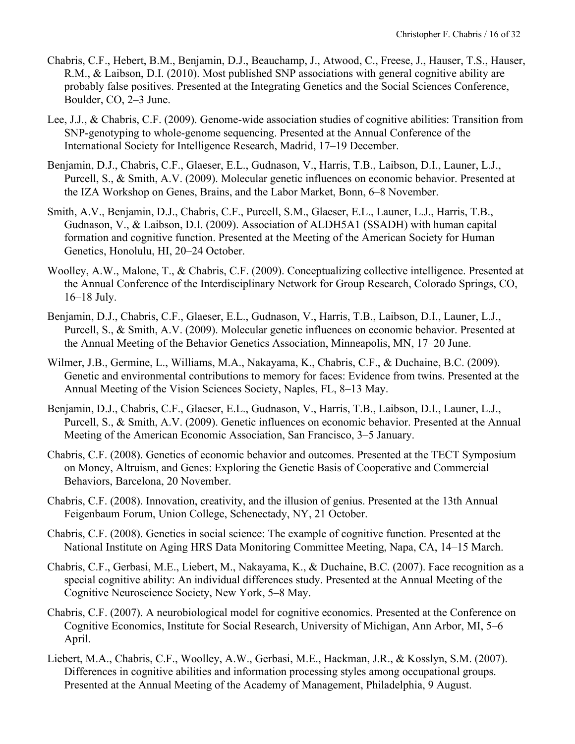- Chabris, C.F., Hebert, B.M., Benjamin, D.J., Beauchamp, J., Atwood, C., Freese, J., Hauser, T.S., Hauser, R.M., & Laibson, D.I. (2010). Most published SNP associations with general cognitive ability are probably false positives. Presented at the Integrating Genetics and the Social Sciences Conference, Boulder, CO, 2–3 June.
- Lee, J.J., & Chabris, C.F. (2009). Genome-wide association studies of cognitive abilities: Transition from SNP-genotyping to whole-genome sequencing. Presented at the Annual Conference of the International Society for Intelligence Research, Madrid, 17–19 December.
- Benjamin, D.J., Chabris, C.F., Glaeser, E.L., Gudnason, V., Harris, T.B., Laibson, D.I., Launer, L.J., Purcell, S., & Smith, A.V. (2009). Molecular genetic influences on economic behavior. Presented at the IZA Workshop on Genes, Brains, and the Labor Market, Bonn, 6–8 November.
- Smith, A.V., Benjamin, D.J., Chabris, C.F., Purcell, S.M., Glaeser, E.L., Launer, L.J., Harris, T.B., Gudnason, V., & Laibson, D.I. (2009). Association of ALDH5A1 (SSADH) with human capital formation and cognitive function. Presented at the Meeting of the American Society for Human Genetics, Honolulu, HI, 20–24 October.
- Woolley, A.W., Malone, T., & Chabris, C.F. (2009). Conceptualizing collective intelligence. Presented at the Annual Conference of the Interdisciplinary Network for Group Research, Colorado Springs, CO, 16–18 July.
- Benjamin, D.J., Chabris, C.F., Glaeser, E.L., Gudnason, V., Harris, T.B., Laibson, D.I., Launer, L.J., Purcell, S., & Smith, A.V. (2009). Molecular genetic influences on economic behavior. Presented at the Annual Meeting of the Behavior Genetics Association, Minneapolis, MN, 17–20 June.
- Wilmer, J.B., Germine, L., Williams, M.A., Nakayama, K., Chabris, C.F., & Duchaine, B.C. (2009). Genetic and environmental contributions to memory for faces: Evidence from twins. Presented at the Annual Meeting of the Vision Sciences Society, Naples, FL, 8–13 May.
- Benjamin, D.J., Chabris, C.F., Glaeser, E.L., Gudnason, V., Harris, T.B., Laibson, D.I., Launer, L.J., Purcell, S., & Smith, A.V. (2009). Genetic influences on economic behavior. Presented at the Annual Meeting of the American Economic Association, San Francisco, 3–5 January.
- Chabris, C.F. (2008). Genetics of economic behavior and outcomes. Presented at the TECT Symposium on Money, Altruism, and Genes: Exploring the Genetic Basis of Cooperative and Commercial Behaviors, Barcelona, 20 November.
- Chabris, C.F. (2008). Innovation, creativity, and the illusion of genius. Presented at the 13th Annual Feigenbaum Forum, Union College, Schenectady, NY, 21 October.
- Chabris, C.F. (2008). Genetics in social science: The example of cognitive function. Presented at the National Institute on Aging HRS Data Monitoring Committee Meeting, Napa, CA, 14–15 March.
- Chabris, C.F., Gerbasi, M.E., Liebert, M., Nakayama, K., & Duchaine, B.C. (2007). Face recognition as a special cognitive ability: An individual differences study. Presented at the Annual Meeting of the Cognitive Neuroscience Society, New York, 5–8 May.
- Chabris, C.F. (2007). A neurobiological model for cognitive economics. Presented at the Conference on Cognitive Economics, Institute for Social Research, University of Michigan, Ann Arbor, MI, 5–6 April.
- Liebert, M.A., Chabris, C.F., Woolley, A.W., Gerbasi, M.E., Hackman, J.R., & Kosslyn, S.M. (2007). Differences in cognitive abilities and information processing styles among occupational groups. Presented at the Annual Meeting of the Academy of Management, Philadelphia, 9 August.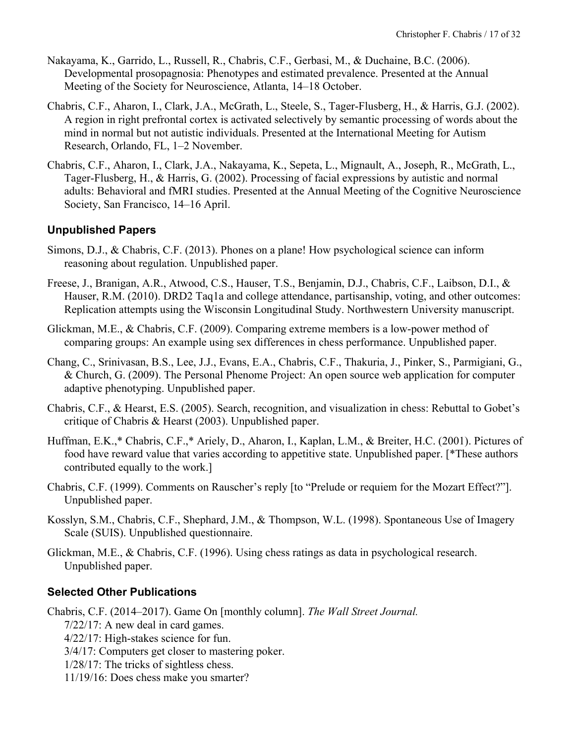- Nakayama, K., Garrido, L., Russell, R., Chabris, C.F., Gerbasi, M., & Duchaine, B.C. (2006). Developmental prosopagnosia: Phenotypes and estimated prevalence. Presented at the Annual Meeting of the Society for Neuroscience, Atlanta, 14–18 October.
- Chabris, C.F., Aharon, I., Clark, J.A., McGrath, L., Steele, S., Tager-Flusberg, H., & Harris, G.J. (2002). A region in right prefrontal cortex is activated selectively by semantic processing of words about the mind in normal but not autistic individuals. Presented at the International Meeting for Autism Research, Orlando, FL, 1–2 November.
- Chabris, C.F., Aharon, I., Clark, J.A., Nakayama, K., Sepeta, L., Mignault, A., Joseph, R., McGrath, L., Tager-Flusberg, H., & Harris, G. (2002). Processing of facial expressions by autistic and normal adults: Behavioral and fMRI studies. Presented at the Annual Meeting of the Cognitive Neuroscience Society, San Francisco, 14–16 April.

# **Unpublished Papers**

- Simons, D.J., & Chabris, C.F. (2013). Phones on a plane! How psychological science can inform reasoning about regulation. Unpublished paper.
- Freese, J., Branigan, A.R., Atwood, C.S., Hauser, T.S., Benjamin, D.J., Chabris, C.F., Laibson, D.I., & Hauser, R.M. (2010). DRD2 Taq1a and college attendance, partisanship, voting, and other outcomes: Replication attempts using the Wisconsin Longitudinal Study. Northwestern University manuscript.
- Glickman, M.E., & Chabris, C.F. (2009). Comparing extreme members is a low-power method of comparing groups: An example using sex differences in chess performance. Unpublished paper.
- Chang, C., Srinivasan, B.S., Lee, J.J., Evans, E.A., Chabris, C.F., Thakuria, J., Pinker, S., Parmigiani, G., & Church, G. (2009). The Personal Phenome Project: An open source web application for computer adaptive phenotyping. Unpublished paper.
- Chabris, C.F., & Hearst, E.S. (2005). Search, recognition, and visualization in chess: Rebuttal to Gobet's critique of Chabris & Hearst (2003). Unpublished paper.
- Huffman, E.K.,\* Chabris, C.F.,\* Ariely, D., Aharon, I., Kaplan, L.M., & Breiter, H.C. (2001). Pictures of food have reward value that varies according to appetitive state. Unpublished paper. [\*These authors contributed equally to the work.]
- Chabris, C.F. (1999). Comments on Rauscher's reply [to "Prelude or requiem for the Mozart Effect?"]. Unpublished paper.
- Kosslyn, S.M., Chabris, C.F., Shephard, J.M., & Thompson, W.L. (1998). Spontaneous Use of Imagery Scale (SUIS). Unpublished questionnaire.
- Glickman, M.E., & Chabris, C.F. (1996). Using chess ratings as data in psychological research. Unpublished paper.

# **Selected Other Publications**

Chabris, C.F. (2014–2017). Game On [monthly column]. *The Wall Street Journal.* 7/22/17: A new deal in card games. 4/22/17: High-stakes science for fun. 3/4/17: Computers get closer to mastering poker. 1/28/17: The tricks of sightless chess. 11/19/16: Does chess make you smarter?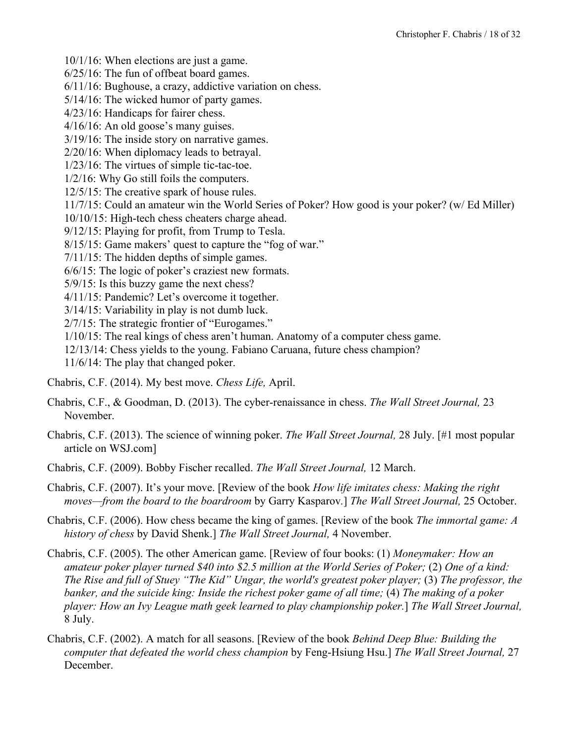10/1/16: When elections are just a game. 6/25/16: The fun of offbeat board games. 6/11/16: Bughouse, a crazy, addictive variation on chess. 5/14/16: The wicked humor of party games. 4/23/16: Handicaps for fairer chess. 4/16/16: An old goose's many guises. 3/19/16: The inside story on narrative games. 2/20/16: When diplomacy leads to betrayal. 1/23/16: The virtues of simple tic-tac-toe. 1/2/16: Why Go still foils the computers. 12/5/15: The creative spark of house rules. 11/7/15: Could an amateur win the World Series of Poker? How good is your poker? (w/ Ed Miller) 10/10/15: High-tech chess cheaters charge ahead. 9/12/15: Playing for profit, from Trump to Tesla. 8/15/15: Game makers' quest to capture the "fog of war." 7/11/15: The hidden depths of simple games. 6/6/15: The logic of poker's craziest new formats. 5/9/15: Is this buzzy game the next chess? 4/11/15: Pandemic? Let's overcome it together. 3/14/15: Variability in play is not dumb luck. 2/7/15: The strategic frontier of "Eurogames." 1/10/15: The real kings of chess aren't human. Anatomy of a computer chess game. 12/13/14: Chess yields to the young. Fabiano Caruana, future chess champion? 11/6/14: The play that changed poker.

- Chabris, C.F. (2014). My best move. *Chess Life,* April.
- Chabris, C.F., & Goodman, D. (2013). The cyber-renaissance in chess. *The Wall Street Journal,* 23 November.
- Chabris, C.F. (2013). The science of winning poker. *The Wall Street Journal,* 28 July. [#1 most popular article on WSJ.com]
- Chabris, C.F. (2009). Bobby Fischer recalled. *The Wall Street Journal,* 12 March.
- Chabris, C.F. (2007). It's your move. [Review of the book *How life imitates chess: Making the right moves—from the board to the boardroom* by Garry Kasparov*.*] *The Wall Street Journal,* 25 October.
- Chabris, C.F. (2006). How chess became the king of games. [Review of the book *The immortal game: A history of chess* by David Shenk.] *The Wall Street Journal,* 4 November.
- Chabris, C.F. (2005). The other American game. [Review of four books: (1) *Moneymaker: How an amateur poker player turned \$40 into \$2.5 million at the World Series of Poker;* (2) *One of a kind: The Rise and full of Stuey "The Kid" Ungar, the world's greatest poker player;* (3) *The professor, the banker, and the suicide king: Inside the richest poker game of all time;* (4) *The making of a poker player: How an Ivy League math geek learned to play championship poker.*] *The Wall Street Journal,* 8 July.
- Chabris, C.F. (2002). A match for all seasons. [Review of the book *Behind Deep Blue: Building the computer that defeated the world chess champion* by Feng-Hsiung Hsu.] *The Wall Street Journal,* 27 December.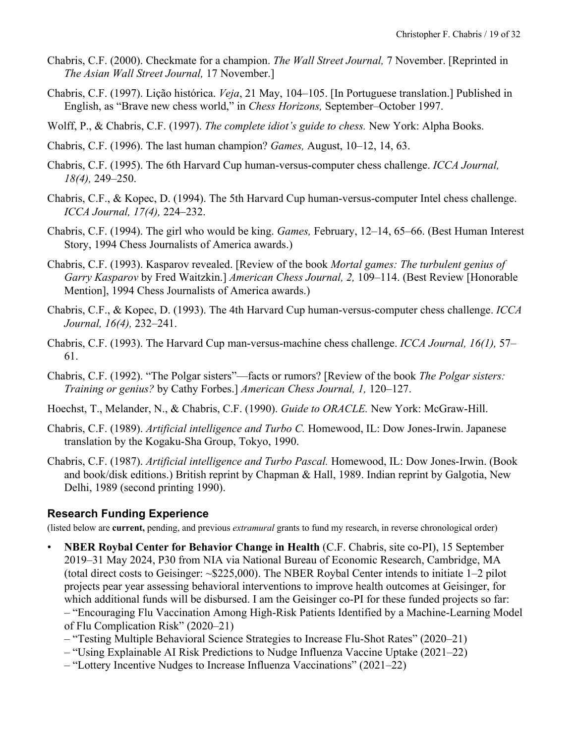- Chabris, C.F. (2000). Checkmate for a champion. *The Wall Street Journal,* 7 November. [Reprinted in *The Asian Wall Street Journal,* 17 November.]
- Chabris, C.F. (1997). Lição histórica. *Veja*, 21 May, 104–105. [In Portuguese translation.] Published in English, as "Brave new chess world," in *Chess Horizons,* September–October 1997.
- Wolff, P., & Chabris, C.F. (1997). *The complete idiot's guide to chess.* New York: Alpha Books.
- Chabris, C.F. (1996). The last human champion? *Games,* August, 10–12, 14, 63.
- Chabris, C.F. (1995). The 6th Harvard Cup human-versus-computer chess challenge. *ICCA Journal, 18(4),* 249–250.
- Chabris, C.F., & Kopec, D. (1994). The 5th Harvard Cup human-versus-computer Intel chess challenge. *ICCA Journal, 17(4),* 224–232.
- Chabris, C.F. (1994). The girl who would be king. *Games,* February, 12–14, 65–66. (Best Human Interest Story, 1994 Chess Journalists of America awards.)
- Chabris, C.F. (1993). Kasparov revealed. [Review of the book *Mortal games: The turbulent genius of Garry Kasparov* by Fred Waitzkin.] *American Chess Journal, 2,* 109–114. (Best Review [Honorable Mention], 1994 Chess Journalists of America awards.)
- Chabris, C.F., & Kopec, D. (1993). The 4th Harvard Cup human-versus-computer chess challenge. *ICCA Journal, 16(4),* 232–241.
- Chabris, C.F. (1993). The Harvard Cup man-versus-machine chess challenge. *ICCA Journal, 16(1),* 57– 61.
- Chabris, C.F. (1992). "The Polgar sisters"—facts or rumors? [Review of the book *The Polgar sisters: Training or genius?* by Cathy Forbes.] *American Chess Journal, 1,* 120–127.
- Hoechst, T., Melander, N., & Chabris, C.F. (1990). *Guide to ORACLE.* New York: McGraw-Hill.
- Chabris, C.F. (1989). *Artificial intelligence and Turbo C.* Homewood, IL: Dow Jones-Irwin. Japanese translation by the Kogaku-Sha Group, Tokyo, 1990.
- Chabris, C.F. (1987). *Artificial intelligence and Turbo Pascal.* Homewood, IL: Dow Jones-Irwin. (Book and book/disk editions.) British reprint by Chapman & Hall, 1989. Indian reprint by Galgotia, New Delhi, 1989 (second printing 1990).

### **Research Funding Experience**

(listed below are **current,** pending, and previous *extramural* grants to fund my research, in reverse chronological order)

• **NBER Roybal Center for Behavior Change in Health** (C.F. Chabris, site co-PI), 15 September 2019–31 May 2024, P30 from NIA via National Bureau of Economic Research, Cambridge, MA (total direct costs to Geisinger: ~\$225,000). The NBER Roybal Center intends to initiate 1–2 pilot projects pear year assessing behavioral interventions to improve health outcomes at Geisinger, for which additional funds will be disbursed. I am the Geisinger co-PI for these funded projects so far: – "Encouraging Flu Vaccination Among High-Risk Patients Identified by a Machine-Learning Model

of Flu Complication Risk" (2020–21)

- "Testing Multiple Behavioral Science Strategies to Increase Flu-Shot Rates" (2020–21)
- "Using Explainable AI Risk Predictions to Nudge Influenza Vaccine Uptake (2021–22)
- "Lottery Incentive Nudges to Increase Influenza Vaccinations" (2021–22)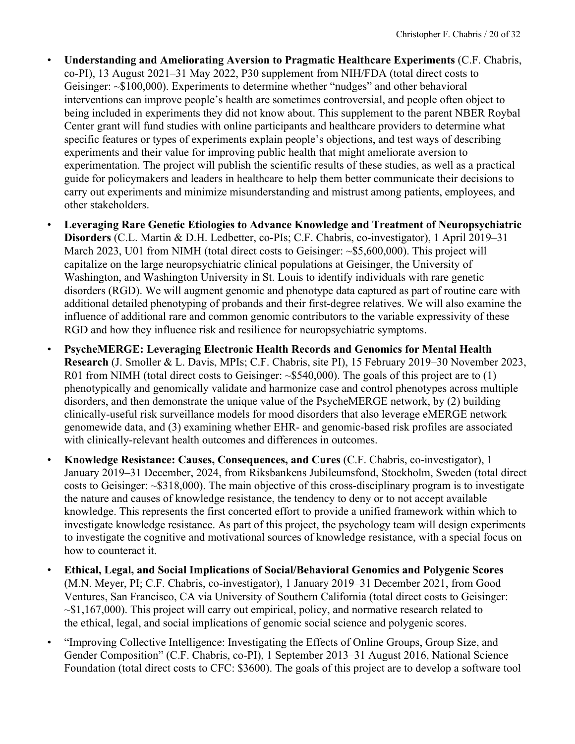- **Understanding and Ameliorating Aversion to Pragmatic Healthcare Experiments** (C.F. Chabris, co-PI), 13 August 2021–31 May 2022, P30 supplement from NIH/FDA (total direct costs to Geisinger: ~\$100,000). Experiments to determine whether "nudges" and other behavioral interventions can improve people's health are sometimes controversial, and people often object to being included in experiments they did not know about. This supplement to the parent NBER Roybal Center grant will fund studies with online participants and healthcare providers to determine what specific features or types of experiments explain people's objections, and test ways of describing experiments and their value for improving public health that might ameliorate aversion to experimentation. The project will publish the scientific results of these studies, as well as a practical guide for policymakers and leaders in healthcare to help them better communicate their decisions to carry out experiments and minimize misunderstanding and mistrust among patients, employees, and other stakeholders.
- **Leveraging Rare Genetic Etiologies to Advance Knowledge and Treatment of Neuropsychiatric Disorders** (C.L. Martin & D.H. Ledbetter, co-PIs; C.F. Chabris, co-investigator), 1 April 2019–31 March 2023, U01 from NIMH (total direct costs to Geisinger: ~\$5,600,000). This project will capitalize on the large neuropsychiatric clinical populations at Geisinger, the University of Washington, and Washington University in St. Louis to identify individuals with rare genetic disorders (RGD). We will augment genomic and phenotype data captured as part of routine care with additional detailed phenotyping of probands and their first-degree relatives. We will also examine the influence of additional rare and common genomic contributors to the variable expressivity of these RGD and how they influence risk and resilience for neuropsychiatric symptoms.
- **PsycheMERGE: Leveraging Electronic Health Records and Genomics for Mental Health Research** (J. Smoller & L. Davis, MPIs; C.F. Chabris, site PI), 15 February 2019–30 November 2023, R01 from NIMH (total direct costs to Geisinger: ~\$540,000). The goals of this project are to (1) phenotypically and genomically validate and harmonize case and control phenotypes across multiple disorders, and then demonstrate the unique value of the PsycheMERGE network, by (2) building clinically-useful risk surveillance models for mood disorders that also leverage eMERGE network genomewide data, and (3) examining whether EHR- and genomic-based risk profiles are associated with clinically-relevant health outcomes and differences in outcomes.
- **Knowledge Resistance: Causes, Consequences, and Cures** (C.F. Chabris, co-investigator), 1 January 2019–31 December, 2024, from Riksbankens Jubileumsfond, Stockholm, Sweden (total direct costs to Geisinger: ~\$318,000). The main objective of this cross-disciplinary program is to investigate the nature and causes of knowledge resistance, the tendency to deny or to not accept available knowledge. This represents the first concerted effort to provide a unified framework within which to investigate knowledge resistance. As part of this project, the psychology team will design experiments to investigate the cognitive and motivational sources of knowledge resistance, with a special focus on how to counteract it.
- **Ethical, Legal, and Social Implications of Social/Behavioral Genomics and Polygenic Scores** (M.N. Meyer, PI; C.F. Chabris, co-investigator), 1 January 2019–31 December 2021, from Good Ventures, San Francisco, CA via University of Southern California (total direct costs to Geisinger:  $\sim$ \$1,167,000). This project will carry out empirical, policy, and normative research related to the ethical, legal, and social implications of genomic social science and polygenic scores.
- "Improving Collective Intelligence: Investigating the Effects of Online Groups, Group Size, and Gender Composition" (C.F. Chabris, co-PI), 1 September 2013–31 August 2016, National Science Foundation (total direct costs to CFC: \$3600). The goals of this project are to develop a software tool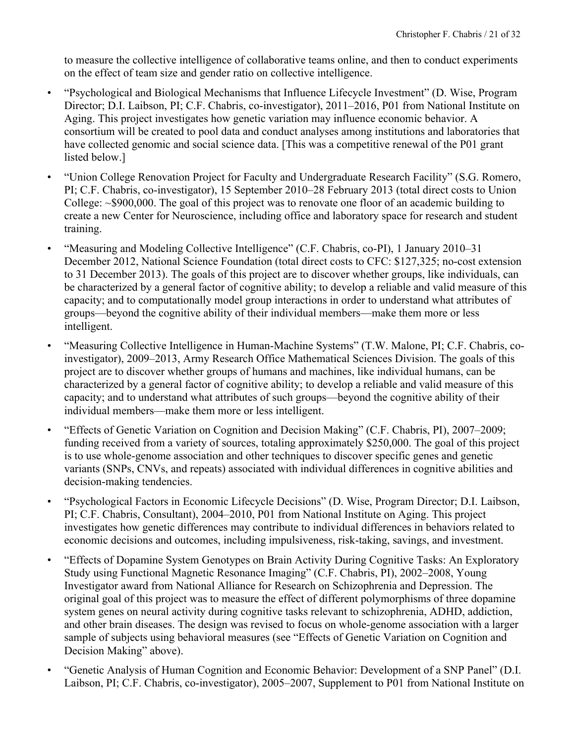to measure the collective intelligence of collaborative teams online, and then to conduct experiments on the effect of team size and gender ratio on collective intelligence.

- "Psychological and Biological Mechanisms that Influence Lifecycle Investment" (D. Wise, Program Director; D.I. Laibson, PI; C.F. Chabris, co-investigator), 2011–2016, P01 from National Institute on Aging. This project investigates how genetic variation may influence economic behavior. A consortium will be created to pool data and conduct analyses among institutions and laboratories that have collected genomic and social science data. [This was a competitive renewal of the P01 grant listed below.]
- "Union College Renovation Project for Faculty and Undergraduate Research Facility" (S.G. Romero, PI; C.F. Chabris, co-investigator), 15 September 2010–28 February 2013 (total direct costs to Union College: ~\$900,000. The goal of this project was to renovate one floor of an academic building to create a new Center for Neuroscience, including office and laboratory space for research and student training.
- "Measuring and Modeling Collective Intelligence" (C.F. Chabris, co-PI), 1 January 2010–31 December 2012, National Science Foundation (total direct costs to CFC: \$127,325; no-cost extension to 31 December 2013). The goals of this project are to discover whether groups, like individuals, can be characterized by a general factor of cognitive ability; to develop a reliable and valid measure of this capacity; and to computationally model group interactions in order to understand what attributes of groups—beyond the cognitive ability of their individual members—make them more or less intelligent.
- "Measuring Collective Intelligence in Human-Machine Systems" (T.W. Malone, PI; C.F. Chabris, coinvestigator), 2009–2013, Army Research Office Mathematical Sciences Division. The goals of this project are to discover whether groups of humans and machines, like individual humans, can be characterized by a general factor of cognitive ability; to develop a reliable and valid measure of this capacity; and to understand what attributes of such groups—beyond the cognitive ability of their individual members—make them more or less intelligent.
- "Effects of Genetic Variation on Cognition and Decision Making" (C.F. Chabris, PI), 2007–2009; funding received from a variety of sources, totaling approximately \$250,000. The goal of this project is to use whole-genome association and other techniques to discover specific genes and genetic variants (SNPs, CNVs, and repeats) associated with individual differences in cognitive abilities and decision-making tendencies.
- "Psychological Factors in Economic Lifecycle Decisions" (D. Wise, Program Director; D.I. Laibson, PI; C.F. Chabris, Consultant), 2004–2010, P01 from National Institute on Aging. This project investigates how genetic differences may contribute to individual differences in behaviors related to economic decisions and outcomes, including impulsiveness, risk-taking, savings, and investment.
- "Effects of Dopamine System Genotypes on Brain Activity During Cognitive Tasks: An Exploratory Study using Functional Magnetic Resonance Imaging" (C.F. Chabris, PI), 2002–2008, Young Investigator award from National Alliance for Research on Schizophrenia and Depression. The original goal of this project was to measure the effect of different polymorphisms of three dopamine system genes on neural activity during cognitive tasks relevant to schizophrenia, ADHD, addiction, and other brain diseases. The design was revised to focus on whole-genome association with a larger sample of subjects using behavioral measures (see "Effects of Genetic Variation on Cognition and Decision Making" above).
- "Genetic Analysis of Human Cognition and Economic Behavior: Development of a SNP Panel" (D.I. Laibson, PI; C.F. Chabris, co-investigator), 2005–2007, Supplement to P01 from National Institute on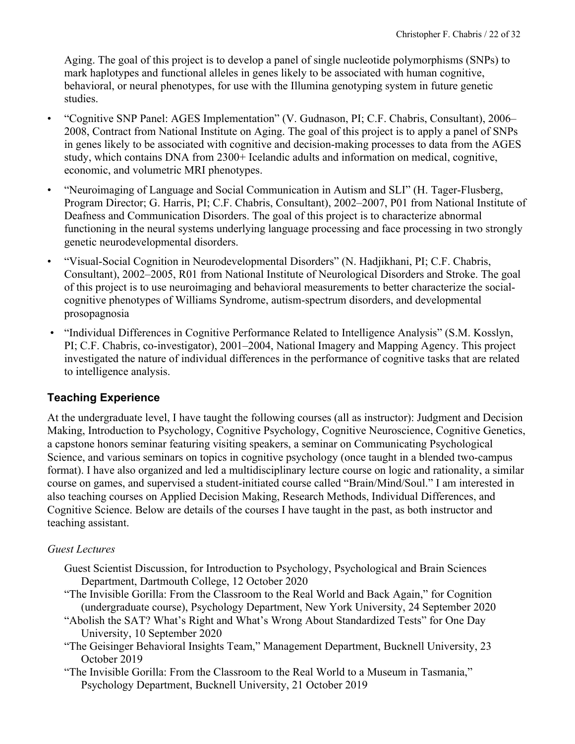Aging. The goal of this project is to develop a panel of single nucleotide polymorphisms (SNPs) to mark haplotypes and functional alleles in genes likely to be associated with human cognitive, behavioral, or neural phenotypes, for use with the Illumina genotyping system in future genetic studies.

- "Cognitive SNP Panel: AGES Implementation" (V. Gudnason, PI; C.F. Chabris, Consultant), 2006– 2008, Contract from National Institute on Aging. The goal of this project is to apply a panel of SNPs in genes likely to be associated with cognitive and decision-making processes to data from the AGES study, which contains DNA from 2300+ Icelandic adults and information on medical, cognitive, economic, and volumetric MRI phenotypes.
- "Neuroimaging of Language and Social Communication in Autism and SLI" (H. Tager-Flusberg, Program Director; G. Harris, PI; C.F. Chabris, Consultant), 2002–2007, P01 from National Institute of Deafness and Communication Disorders. The goal of this project is to characterize abnormal functioning in the neural systems underlying language processing and face processing in two strongly genetic neurodevelopmental disorders.
- "Visual-Social Cognition in Neurodevelopmental Disorders" (N. Hadjikhani, PI; C.F. Chabris, Consultant), 2002–2005, R01 from National Institute of Neurological Disorders and Stroke. The goal of this project is to use neuroimaging and behavioral measurements to better characterize the socialcognitive phenotypes of Williams Syndrome, autism-spectrum disorders, and developmental prosopagnosia
- "Individual Differences in Cognitive Performance Related to Intelligence Analysis" (S.M. Kosslyn, PI; C.F. Chabris, co-investigator), 2001–2004, National Imagery and Mapping Agency. This project investigated the nature of individual differences in the performance of cognitive tasks that are related to intelligence analysis.

# **Teaching Experience**

At the undergraduate level, I have taught the following courses (all as instructor): Judgment and Decision Making, Introduction to Psychology, Cognitive Psychology, Cognitive Neuroscience, Cognitive Genetics, a capstone honors seminar featuring visiting speakers, a seminar on Communicating Psychological Science, and various seminars on topics in cognitive psychology (once taught in a blended two-campus format). I have also organized and led a multidisciplinary lecture course on logic and rationality, a similar course on games, and supervised a student-initiated course called "Brain/Mind/Soul." I am interested in also teaching courses on Applied Decision Making, Research Methods, Individual Differences, and Cognitive Science. Below are details of the courses I have taught in the past, as both instructor and teaching assistant.

# *Guest Lectures*

- Guest Scientist Discussion, for Introduction to Psychology, Psychological and Brain Sciences Department, Dartmouth College, 12 October 2020
- "The Invisible Gorilla: From the Classroom to the Real World and Back Again," for Cognition (undergraduate course), Psychology Department, New York University, 24 September 2020
- "Abolish the SAT? What's Right and What's Wrong About Standardized Tests" for One Day University, 10 September 2020
- "The Geisinger Behavioral Insights Team," Management Department, Bucknell University, 23 October 2019
- "The Invisible Gorilla: From the Classroom to the Real World to a Museum in Tasmania," Psychology Department, Bucknell University, 21 October 2019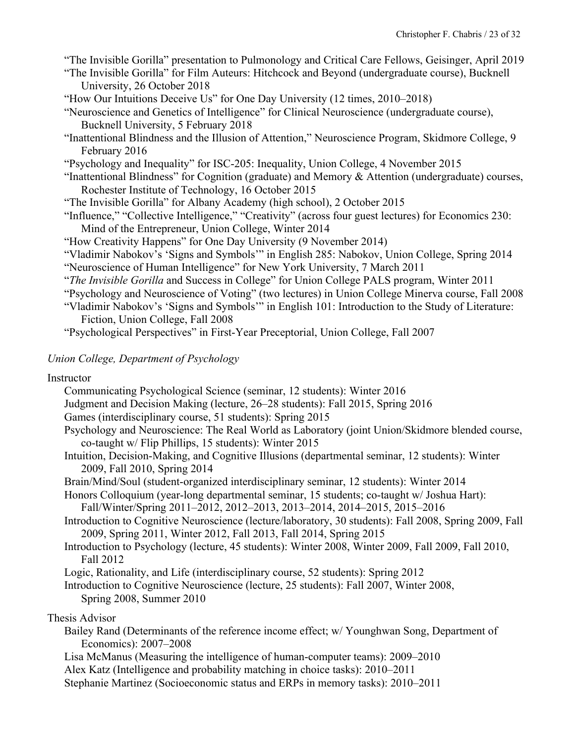"The Invisible Gorilla" presentation to Pulmonology and Critical Care Fellows, Geisinger, April 2019

- "The Invisible Gorilla" for Film Auteurs: Hitchcock and Beyond (undergraduate course), Bucknell University, 26 October 2018
- "How Our Intuitions Deceive Us" for One Day University (12 times, 2010–2018)
- "Neuroscience and Genetics of Intelligence" for Clinical Neuroscience (undergraduate course), Bucknell University, 5 February 2018
- "Inattentional Blindness and the Illusion of Attention," Neuroscience Program, Skidmore College, 9 February 2016
- "Psychology and Inequality" for ISC-205: Inequality, Union College, 4 November 2015
- "Inattentional Blindness" for Cognition (graduate) and Memory & Attention (undergraduate) courses, Rochester Institute of Technology, 16 October 2015
- "The Invisible Gorilla" for Albany Academy (high school), 2 October 2015
- "Influence," "Collective Intelligence," "Creativity" (across four guest lectures) for Economics 230: Mind of the Entrepreneur, Union College, Winter 2014
- "How Creativity Happens" for One Day University (9 November 2014)
- "Vladimir Nabokov's 'Signs and Symbols'" in English 285: Nabokov, Union College, Spring 2014 "Neuroscience of Human Intelligence" for New York University, 7 March 2011
- "*The Invisible Gorilla* and Success in College" for Union College PALS program, Winter 2011
- "Psychology and Neuroscience of Voting" (two lectures) in Union College Minerva course, Fall 2008
- "Vladimir Nabokov's 'Signs and Symbols'" in English 101: Introduction to the Study of Literature: Fiction, Union College, Fall 2008
- "Psychological Perspectives" in First-Year Preceptorial, Union College, Fall 2007

### *Union College, Department of Psychology*

#### Instructor

- Communicating Psychological Science (seminar, 12 students): Winter 2016
- Judgment and Decision Making (lecture, 26–28 students): Fall 2015, Spring 2016
- Games (interdisciplinary course, 51 students): Spring 2015
- Psychology and Neuroscience: The Real World as Laboratory (joint Union/Skidmore blended course, co-taught w/ Flip Phillips, 15 students): Winter 2015
- Intuition, Decision-Making, and Cognitive Illusions (departmental seminar, 12 students): Winter 2009, Fall 2010, Spring 2014
- Brain/Mind/Soul (student-organized interdisciplinary seminar, 12 students): Winter 2014
- Honors Colloquium (year-long departmental seminar, 15 students; co-taught w/ Joshua Hart): Fall/Winter/Spring 2011–2012, 2012–2013, 2013–2014, 2014–2015, 2015–2016
- Introduction to Cognitive Neuroscience (lecture/laboratory, 30 students): Fall 2008, Spring 2009, Fall 2009, Spring 2011, Winter 2012, Fall 2013, Fall 2014, Spring 2015
- Introduction to Psychology (lecture, 45 students): Winter 2008, Winter 2009, Fall 2009, Fall 2010, Fall 2012
- Logic, Rationality, and Life (interdisciplinary course, 52 students): Spring 2012
- Introduction to Cognitive Neuroscience (lecture, 25 students): Fall 2007, Winter 2008, Spring 2008, Summer 2010

### Thesis Advisor

- Bailey Rand (Determinants of the reference income effect; w/ Younghwan Song, Department of Economics): 2007–2008
- Lisa McManus (Measuring the intelligence of human-computer teams): 2009–2010
- Alex Katz (Intelligence and probability matching in choice tasks): 2010–2011
- Stephanie Martinez (Socioeconomic status and ERPs in memory tasks): 2010–2011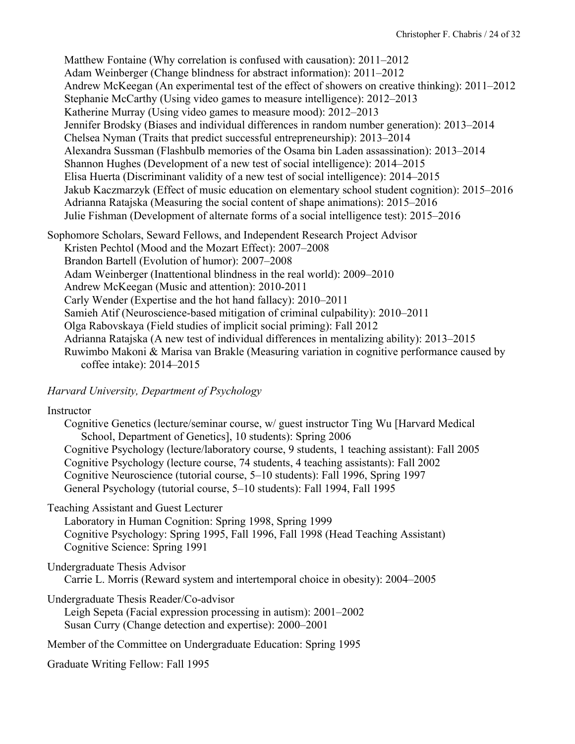Matthew Fontaine (Why correlation is confused with causation): 2011–2012 Adam Weinberger (Change blindness for abstract information): 2011–2012 Andrew McKeegan (An experimental test of the effect of showers on creative thinking): 2011–2012 Stephanie McCarthy (Using video games to measure intelligence): 2012–2013 Katherine Murray (Using video games to measure mood): 2012–2013 Jennifer Brodsky (Biases and individual differences in random number generation): 2013–2014 Chelsea Nyman (Traits that predict successful entrepreneurship): 2013–2014 Alexandra Sussman (Flashbulb memories of the Osama bin Laden assassination): 2013–2014 Shannon Hughes (Development of a new test of social intelligence): 2014–2015 Elisa Huerta (Discriminant validity of a new test of social intelligence): 2014–2015 Jakub Kaczmarzyk (Effect of music education on elementary school student cognition): 2015–2016 Adrianna Ratajska (Measuring the social content of shape animations): 2015–2016 Julie Fishman (Development of alternate forms of a social intelligence test): 2015–2016

Sophomore Scholars, Seward Fellows, and Independent Research Project Advisor

Kristen Pechtol (Mood and the Mozart Effect): 2007–2008

Brandon Bartell (Evolution of humor): 2007–2008

Adam Weinberger (Inattentional blindness in the real world): 2009–2010

Andrew McKeegan (Music and attention): 2010-2011

Carly Wender (Expertise and the hot hand fallacy): 2010–2011

Samieh Atif (Neuroscience-based mitigation of criminal culpability): 2010–2011

Olga Rabovskaya (Field studies of implicit social priming): Fall 2012

Adrianna Ratajska (A new test of individual differences in mentalizing ability): 2013–2015

Ruwimbo Makoni & Marisa van Brakle (Measuring variation in cognitive performance caused by coffee intake): 2014–2015

*Harvard University, Department of Psychology*

# **Instructor**

Cognitive Genetics (lecture/seminar course, w/ guest instructor Ting Wu [Harvard Medical School, Department of Genetics], 10 students): Spring 2006 Cognitive Psychology (lecture/laboratory course, 9 students, 1 teaching assistant): Fall 2005 Cognitive Psychology (lecture course, 74 students, 4 teaching assistants): Fall 2002 Cognitive Neuroscience (tutorial course, 5–10 students): Fall 1996, Spring 1997 General Psychology (tutorial course, 5–10 students): Fall 1994, Fall 1995

Teaching Assistant and Guest Lecturer

Laboratory in Human Cognition: Spring 1998, Spring 1999 Cognitive Psychology: Spring 1995, Fall 1996, Fall 1998 (Head Teaching Assistant) Cognitive Science: Spring 1991

Undergraduate Thesis Advisor

Carrie L. Morris (Reward system and intertemporal choice in obesity): 2004–2005

Undergraduate Thesis Reader/Co-advisor

Leigh Sepeta (Facial expression processing in autism): 2001–2002 Susan Curry (Change detection and expertise): 2000–2001

Member of the Committee on Undergraduate Education: Spring 1995

Graduate Writing Fellow: Fall 1995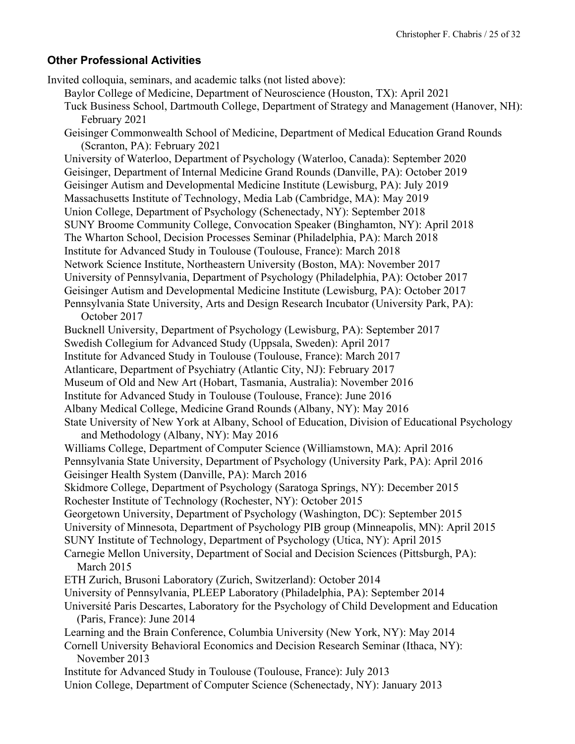#### **Other Professional Activities**

Invited colloquia, seminars, and academic talks (not listed above): Baylor College of Medicine, Department of Neuroscience (Houston, TX): April 2021 Tuck Business School, Dartmouth College, Department of Strategy and Management (Hanover, NH): February 2021 Geisinger Commonwealth School of Medicine, Department of Medical Education Grand Rounds (Scranton, PA): February 2021 University of Waterloo, Department of Psychology (Waterloo, Canada): September 2020 Geisinger, Department of Internal Medicine Grand Rounds (Danville, PA): October 2019 Geisinger Autism and Developmental Medicine Institute (Lewisburg, PA): July 2019 Massachusetts Institute of Technology, Media Lab (Cambridge, MA): May 2019 Union College, Department of Psychology (Schenectady, NY): September 2018 SUNY Broome Community College, Convocation Speaker (Binghamton, NY): April 2018 The Wharton School, Decision Processes Seminar (Philadelphia, PA): March 2018 Institute for Advanced Study in Toulouse (Toulouse, France): March 2018 Network Science Institute, Northeastern University (Boston, MA): November 2017 University of Pennsylvania, Department of Psychology (Philadelphia, PA): October 2017 Geisinger Autism and Developmental Medicine Institute (Lewisburg, PA): October 2017 Pennsylvania State University, Arts and Design Research Incubator (University Park, PA): October 2017 Bucknell University, Department of Psychology (Lewisburg, PA): September 2017 Swedish Collegium for Advanced Study (Uppsala, Sweden): April 2017 Institute for Advanced Study in Toulouse (Toulouse, France): March 2017 Atlanticare, Department of Psychiatry (Atlantic City, NJ): February 2017 Museum of Old and New Art (Hobart, Tasmania, Australia): November 2016 Institute for Advanced Study in Toulouse (Toulouse, France): June 2016 Albany Medical College, Medicine Grand Rounds (Albany, NY): May 2016 State University of New York at Albany, School of Education, Division of Educational Psychology and Methodology (Albany, NY): May 2016 Williams College, Department of Computer Science (Williamstown, MA): April 2016 Pennsylvania State University, Department of Psychology (University Park, PA): April 2016 Geisinger Health System (Danville, PA): March 2016 Skidmore College, Department of Psychology (Saratoga Springs, NY): December 2015 Rochester Institute of Technology (Rochester, NY): October 2015 Georgetown University, Department of Psychology (Washington, DC): September 2015 University of Minnesota, Department of Psychology PIB group (Minneapolis, MN): April 2015 SUNY Institute of Technology, Department of Psychology (Utica, NY): April 2015 Carnegie Mellon University, Department of Social and Decision Sciences (Pittsburgh, PA): March 2015 ETH Zurich, Brusoni Laboratory (Zurich, Switzerland): October 2014 University of Pennsylvania, PLEEP Laboratory (Philadelphia, PA): September 2014 Université Paris Descartes, Laboratory for the Psychology of Child Development and Education (Paris, France): June 2014 Learning and the Brain Conference, Columbia University (New York, NY): May 2014 Cornell University Behavioral Economics and Decision Research Seminar (Ithaca, NY): November 2013 Institute for Advanced Study in Toulouse (Toulouse, France): July 2013 Union College, Department of Computer Science (Schenectady, NY): January 2013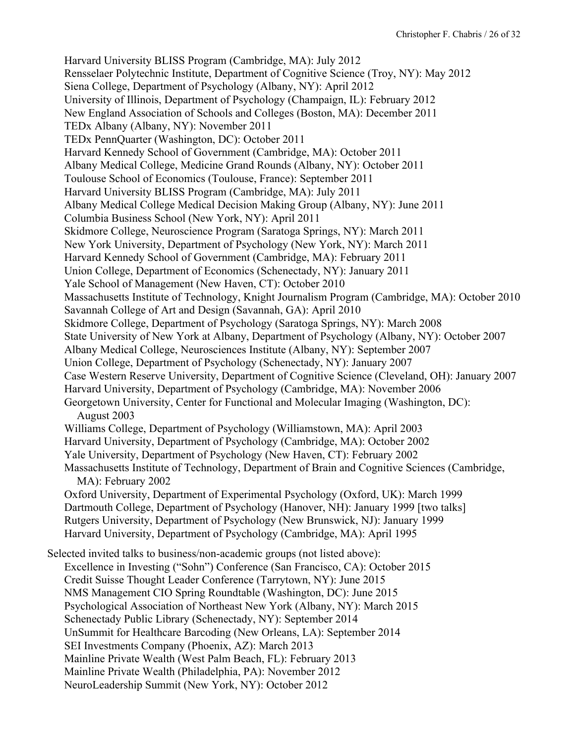Harvard University BLISS Program (Cambridge, MA): July 2012 Rensselaer Polytechnic Institute, Department of Cognitive Science (Troy, NY): May 2012 Siena College, Department of Psychology (Albany, NY): April 2012 University of Illinois, Department of Psychology (Champaign, IL): February 2012 New England Association of Schools and Colleges (Boston, MA): December 2011 TEDx Albany (Albany, NY): November 2011 TEDx PennQuarter (Washington, DC): October 2011 Harvard Kennedy School of Government (Cambridge, MA): October 2011 Albany Medical College, Medicine Grand Rounds (Albany, NY): October 2011 Toulouse School of Economics (Toulouse, France): September 2011 Harvard University BLISS Program (Cambridge, MA): July 2011 Albany Medical College Medical Decision Making Group (Albany, NY): June 2011 Columbia Business School (New York, NY): April 2011 Skidmore College, Neuroscience Program (Saratoga Springs, NY): March 2011 New York University, Department of Psychology (New York, NY): March 2011 Harvard Kennedy School of Government (Cambridge, MA): February 2011 Union College, Department of Economics (Schenectady, NY): January 2011 Yale School of Management (New Haven, CT): October 2010 Massachusetts Institute of Technology, Knight Journalism Program (Cambridge, MA): October 2010 Savannah College of Art and Design (Savannah, GA): April 2010 Skidmore College, Department of Psychology (Saratoga Springs, NY): March 2008 State University of New York at Albany, Department of Psychology (Albany, NY): October 2007 Albany Medical College, Neurosciences Institute (Albany, NY): September 2007 Union College, Department of Psychology (Schenectady, NY): January 2007 Case Western Reserve University, Department of Cognitive Science (Cleveland, OH): January 2007 Harvard University, Department of Psychology (Cambridge, MA): November 2006 Georgetown University, Center for Functional and Molecular Imaging (Washington, DC): August 2003 Williams College, Department of Psychology (Williamstown, MA): April 2003 Harvard University, Department of Psychology (Cambridge, MA): October 2002 Yale University, Department of Psychology (New Haven, CT): February 2002 Massachusetts Institute of Technology, Department of Brain and Cognitive Sciences (Cambridge, MA): February 2002 Oxford University, Department of Experimental Psychology (Oxford, UK): March 1999 Dartmouth College, Department of Psychology (Hanover, NH): January 1999 [two talks] Rutgers University, Department of Psychology (New Brunswick, NJ): January 1999 Harvard University, Department of Psychology (Cambridge, MA): April 1995 Selected invited talks to business/non-academic groups (not listed above): Excellence in Investing ("Sohn") Conference (San Francisco, CA): October 2015 Credit Suisse Thought Leader Conference (Tarrytown, NY): June 2015 NMS Management CIO Spring Roundtable (Washington, DC): June 2015 Psychological Association of Northeast New York (Albany, NY): March 2015 Schenectady Public Library (Schenectady, NY): September 2014 UnSummit for Healthcare Barcoding (New Orleans, LA): September 2014 SEI Investments Company (Phoenix, AZ): March 2013 Mainline Private Wealth (West Palm Beach, FL): February 2013 Mainline Private Wealth (Philadelphia, PA): November 2012 NeuroLeadership Summit (New York, NY): October 2012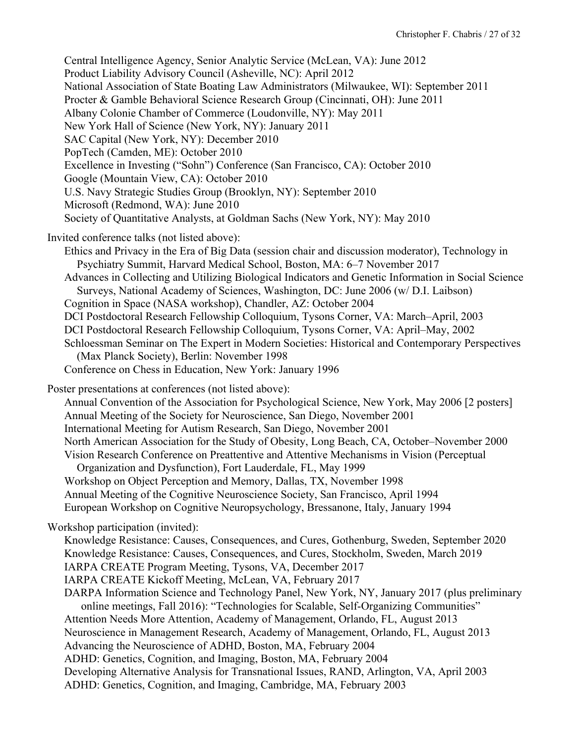Central Intelligence Agency, Senior Analytic Service (McLean, VA): June 2012 Product Liability Advisory Council (Asheville, NC): April 2012 National Association of State Boating Law Administrators (Milwaukee, WI): September 2011 Procter & Gamble Behavioral Science Research Group (Cincinnati, OH): June 2011 Albany Colonie Chamber of Commerce (Loudonville, NY): May 2011 New York Hall of Science (New York, NY): January 2011 SAC Capital (New York, NY): December 2010 PopTech (Camden, ME): October 2010 Excellence in Investing ("Sohn") Conference (San Francisco, CA): October 2010 Google (Mountain View, CA): October 2010 U.S. Navy Strategic Studies Group (Brooklyn, NY): September 2010 Microsoft (Redmond, WA): June 2010 Society of Quantitative Analysts, at Goldman Sachs (New York, NY): May 2010 Invited conference talks (not listed above): Ethics and Privacy in the Era of Big Data (session chair and discussion moderator), Technology in Psychiatry Summit, Harvard Medical School, Boston, MA: 6–7 November 2017 Advances in Collecting and Utilizing Biological Indicators and Genetic Information in Social Science Surveys, National Academy of Sciences, Washington, DC: June 2006 (w/ D.I. Laibson) Cognition in Space (NASA workshop), Chandler, AZ: October 2004 DCI Postdoctoral Research Fellowship Colloquium, Tysons Corner, VA: March–April, 2003 DCI Postdoctoral Research Fellowship Colloquium, Tysons Corner, VA: April–May, 2002 Schloessman Seminar on The Expert in Modern Societies: Historical and Contemporary Perspectives (Max Planck Society), Berlin: November 1998 Conference on Chess in Education, New York: January 1996 Poster presentations at conferences (not listed above): Annual Convention of the Association for Psychological Science, New York, May 2006 [2 posters] Annual Meeting of the Society for Neuroscience, San Diego, November 2001 International Meeting for Autism Research, San Diego, November 2001 North American Association for the Study of Obesity, Long Beach, CA, October–November 2000 Vision Research Conference on Preattentive and Attentive Mechanisms in Vision (Perceptual Organization and Dysfunction), Fort Lauderdale, FL, May 1999 Workshop on Object Perception and Memory, Dallas, TX, November 1998 Annual Meeting of the Cognitive Neuroscience Society, San Francisco, April 1994 European Workshop on Cognitive Neuropsychology, Bressanone, Italy, January 1994 Workshop participation (invited): Knowledge Resistance: Causes, Consequences, and Cures, Gothenburg, Sweden, September 2020 Knowledge Resistance: Causes, Consequences, and Cures, Stockholm, Sweden, March 2019 IARPA CREATE Program Meeting, Tysons, VA, December 2017 IARPA CREATE Kickoff Meeting, McLean, VA, February 2017 DARPA Information Science and Technology Panel, New York, NY, January 2017 (plus preliminary online meetings, Fall 2016): "Technologies for Scalable, Self-Organizing Communities" Attention Needs More Attention, Academy of Management, Orlando, FL, August 2013 Neuroscience in Management Research, Academy of Management, Orlando, FL, August 2013 Advancing the Neuroscience of ADHD, Boston, MA, February 2004 ADHD: Genetics, Cognition, and Imaging, Boston, MA, February 2004 Developing Alternative Analysis for Transnational Issues, RAND, Arlington, VA, April 2003 ADHD: Genetics, Cognition, and Imaging, Cambridge, MA, February 2003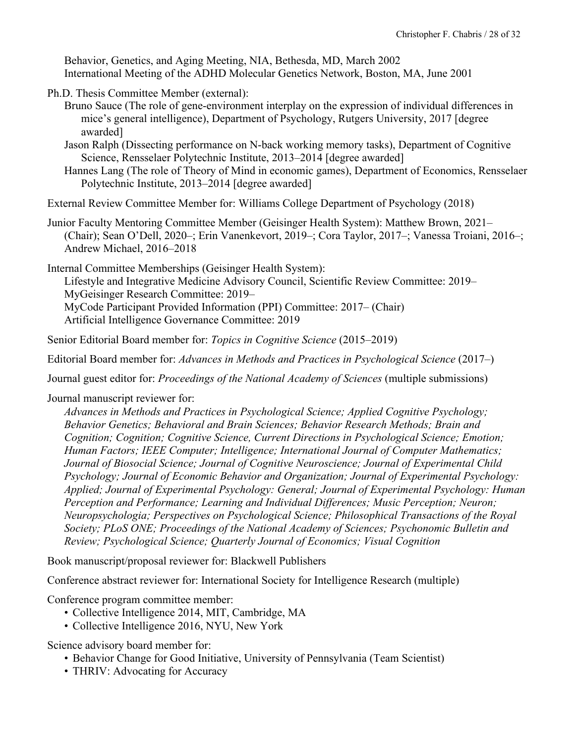Behavior, Genetics, and Aging Meeting, NIA, Bethesda, MD, March 2002 International Meeting of the ADHD Molecular Genetics Network, Boston, MA, June 2001

- Ph.D. Thesis Committee Member (external):
	- Bruno Sauce (The role of gene-environment interplay on the expression of individual differences in mice's general intelligence), Department of Psychology, Rutgers University, 2017 [degree awarded]
	- Jason Ralph (Dissecting performance on N-back working memory tasks), Department of Cognitive Science, Rensselaer Polytechnic Institute, 2013–2014 [degree awarded]
	- Hannes Lang (The role of Theory of Mind in economic games), Department of Economics, Rensselaer Polytechnic Institute, 2013–2014 [degree awarded]

External Review Committee Member for: Williams College Department of Psychology (2018)

Junior Faculty Mentoring Committee Member (Geisinger Health System): Matthew Brown, 2021– (Chair); Sean O'Dell, 2020–; Erin Vanenkevort, 2019–; Cora Taylor, 2017–; Vanessa Troiani, 2016–; Andrew Michael, 2016–2018

Internal Committee Memberships (Geisinger Health System):

Lifestyle and Integrative Medicine Advisory Council, Scientific Review Committee: 2019– MyGeisinger Research Committee: 2019– MyCode Participant Provided Information (PPI) Committee: 2017– (Chair) Artificial Intelligence Governance Committee: 2019

Senior Editorial Board member for: *Topics in Cognitive Science* (2015–2019)

Editorial Board member for: *Advances in Methods and Practices in Psychological Science* (2017–)

Journal guest editor for: *Proceedings of the National Academy of Sciences* (multiple submissions)

Journal manuscript reviewer for:

*Advances in Methods and Practices in Psychological Science; Applied Cognitive Psychology; Behavior Genetics; Behavioral and Brain Sciences; Behavior Research Methods; Brain and Cognition; Cognition; Cognitive Science, Current Directions in Psychological Science; Emotion; Human Factors; IEEE Computer; Intelligence; International Journal of Computer Mathematics; Journal of Biosocial Science; Journal of Cognitive Neuroscience; Journal of Experimental Child Psychology; Journal of Economic Behavior and Organization; Journal of Experimental Psychology: Applied; Journal of Experimental Psychology: General; Journal of Experimental Psychology: Human Perception and Performance; Learning and Individual Differences; Music Perception; Neuron; Neuropsychologia; Perspectives on Psychological Science; Philosophical Transactions of the Royal Society; PLoS ONE; Proceedings of the National Academy of Sciences; Psychonomic Bulletin and Review; Psychological Science; Quarterly Journal of Economics; Visual Cognition*

Book manuscript/proposal reviewer for: Blackwell Publishers

Conference abstract reviewer for: International Society for Intelligence Research (multiple)

Conference program committee member:

- Collective Intelligence 2014, MIT, Cambridge, MA
- Collective Intelligence 2016, NYU, New York

Science advisory board member for:

- Behavior Change for Good Initiative, University of Pennsylvania (Team Scientist)
- THRIV: Advocating for Accuracy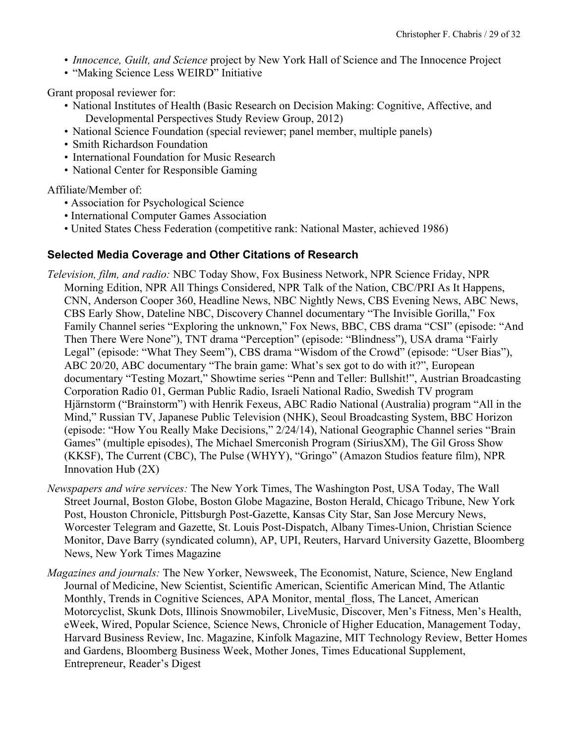- *Innocence, Guilt, and Science* project by New York Hall of Science and The Innocence Project
- "Making Science Less WEIRD" Initiative

Grant proposal reviewer for:

- National Institutes of Health (Basic Research on Decision Making: Cognitive, Affective, and Developmental Perspectives Study Review Group, 2012)
- National Science Foundation (special reviewer; panel member, multiple panels)
- Smith Richardson Foundation
- International Foundation for Music Research
- National Center for Responsible Gaming

Affiliate/Member of:

- Association for Psychological Science
- International Computer Games Association
- United States Chess Federation (competitive rank: National Master, achieved 1986)

### **Selected Media Coverage and Other Citations of Research**

- *Television, film, and radio:* NBC Today Show, Fox Business Network, NPR Science Friday, NPR Morning Edition, NPR All Things Considered, NPR Talk of the Nation, CBC/PRI As It Happens, CNN, Anderson Cooper 360, Headline News, NBC Nightly News, CBS Evening News, ABC News, CBS Early Show, Dateline NBC, Discovery Channel documentary "The Invisible Gorilla," Fox Family Channel series "Exploring the unknown," Fox News, BBC, CBS drama "CSI" (episode: "And Then There Were None"), TNT drama "Perception" (episode: "Blindness"), USA drama "Fairly Legal" (episode: "What They Seem"), CBS drama "Wisdom of the Crowd" (episode: "User Bias"), ABC 20/20, ABC documentary "The brain game: What's sex got to do with it?", European documentary "Testing Mozart," Showtime series "Penn and Teller: Bullshit!", Austrian Broadcasting Corporation Radio 01, German Public Radio, Israeli National Radio, Swedish TV program Hjärnstorm ("Brainstorm") with Henrik Fexeus, ABC Radio National (Australia) program "All in the Mind," Russian TV, Japanese Public Television (NHK), Seoul Broadcasting System, BBC Horizon (episode: "How You Really Make Decisions," 2/24/14), National Geographic Channel series "Brain Games" (multiple episodes), The Michael Smerconish Program (SiriusXM), The Gil Gross Show (KKSF), The Current (CBC), The Pulse (WHYY), "Gringo" (Amazon Studios feature film), NPR Innovation Hub (2X)
- *Newspapers and wire services:* The New York Times, The Washington Post, USA Today, The Wall Street Journal, Boston Globe, Boston Globe Magazine, Boston Herald, Chicago Tribune, New York Post, Houston Chronicle, Pittsburgh Post-Gazette, Kansas City Star, San Jose Mercury News, Worcester Telegram and Gazette, St. Louis Post-Dispatch, Albany Times-Union, Christian Science Monitor, Dave Barry (syndicated column), AP, UPI, Reuters, Harvard University Gazette, Bloomberg News, New York Times Magazine
- *Magazines and journals:* The New Yorker, Newsweek, The Economist, Nature, Science, New England Journal of Medicine, New Scientist, Scientific American, Scientific American Mind, The Atlantic Monthly, Trends in Cognitive Sciences, APA Monitor, mental\_floss, The Lancet, American Motorcyclist, Skunk Dots, Illinois Snowmobiler, LiveMusic, Discover, Men's Fitness, Men's Health, eWeek, Wired, Popular Science, Science News, Chronicle of Higher Education, Management Today, Harvard Business Review, Inc. Magazine, Kinfolk Magazine, MIT Technology Review, Better Homes and Gardens, Bloomberg Business Week, Mother Jones, Times Educational Supplement, Entrepreneur, Reader's Digest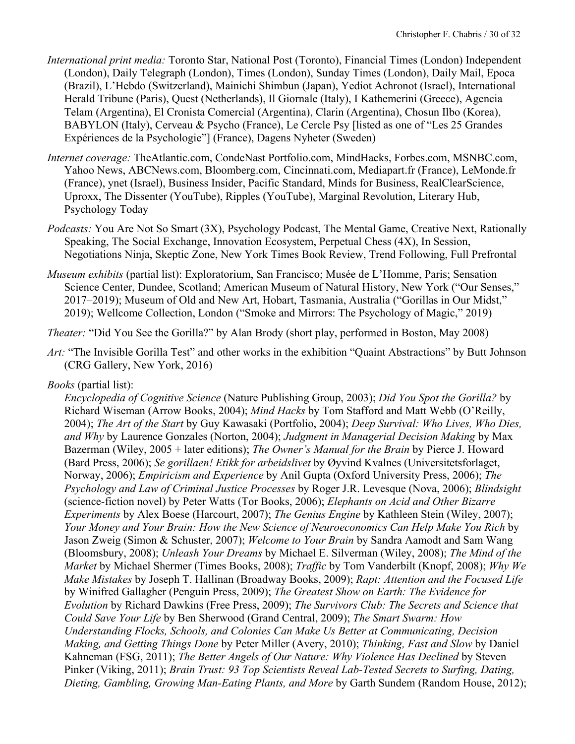- *International print media:* Toronto Star, National Post (Toronto), Financial Times (London) Independent (London), Daily Telegraph (London), Times (London), Sunday Times (London), Daily Mail, Epoca (Brazil), L'Hebdo (Switzerland), Mainichi Shimbun (Japan), Yediot Achronot (Israel), International Herald Tribune (Paris), Quest (Netherlands), Il Giornale (Italy), I Kathemerini (Greece), Agencia Telam (Argentina), El Cronista Comercial (Argentina), Clarin (Argentina), Chosun Ilbo (Korea), BABYLON (Italy), Cerveau & Psycho (France), Le Cercle Psy [listed as one of "Les 25 Grandes Expériences de la Psychologie"] (France), Dagens Nyheter (Sweden)
- *Internet coverage:* TheAtlantic.com, CondeNast Portfolio.com, MindHacks, Forbes.com, MSNBC.com, Yahoo News, ABCNews.com, Bloomberg.com, Cincinnati.com, Mediapart.fr (France), LeMonde.fr (France), ynet (Israel), Business Insider, Pacific Standard, Minds for Business, RealClearScience, Uproxx, The Dissenter (YouTube), Ripples (YouTube), Marginal Revolution, Literary Hub, Psychology Today
- *Podcasts:* You Are Not So Smart (3X), Psychology Podcast, The Mental Game, Creative Next, Rationally Speaking, The Social Exchange, Innovation Ecosystem, Perpetual Chess (4X), In Session, Negotiations Ninja, Skeptic Zone, New York Times Book Review, Trend Following, Full Prefrontal
- *Museum exhibits* (partial list): Exploratorium, San Francisco; Musée de L'Homme, Paris; Sensation Science Center, Dundee, Scotland; American Museum of Natural History, New York ("Our Senses," 2017–2019); Museum of Old and New Art, Hobart, Tasmania, Australia ("Gorillas in Our Midst," 2019); Wellcome Collection, London ("Smoke and Mirrors: The Psychology of Magic," 2019)

*Theater:* "Did You See the Gorilla?" by Alan Brody (short play, performed in Boston, May 2008)

*Art:* "The Invisible Gorilla Test" and other works in the exhibition "Quaint Abstractions" by Butt Johnson (CRG Gallery, New York, 2016)

# *Books* (partial list):

*Encyclopedia of Cognitive Science* (Nature Publishing Group, 2003); *Did You Spot the Gorilla?* by Richard Wiseman (Arrow Books, 2004); *Mind Hacks* by Tom Stafford and Matt Webb (O'Reilly, 2004); *The Art of the Start* by Guy Kawasaki (Portfolio, 2004); *Deep Survival: Who Lives, Who Dies, and Why* by Laurence Gonzales (Norton, 2004); *Judgment in Managerial Decision Making* by Max Bazerman (Wiley, 2005 + later editions); *The Owner's Manual for the Brain* by Pierce J. Howard (Bard Press, 2006); *Se gorillaen! Etikk for arbeidslivet* by Øyvind Kvalnes (Universitetsforlaget, Norway, 2006); *Empiricism and Experience* by Anil Gupta (Oxford University Press, 2006); *The Psychology and Law of Criminal Justice Processes* by Roger J.R. Levesque (Nova, 2006); *Blindsight*  (science-fiction novel) by Peter Watts (Tor Books, 2006); *Elephants on Acid and Other Bizarre Experiments* by Alex Boese (Harcourt, 2007); *The Genius Engine* by Kathleen Stein (Wiley, 2007); *Your Money and Your Brain: How the New Science of Neuroeconomics Can Help Make You Rich* by Jason Zweig (Simon & Schuster, 2007); *Welcome to Your Brain* by Sandra Aamodt and Sam Wang (Bloomsbury, 2008); *Unleash Your Dreams* by Michael E. Silverman (Wiley, 2008); *The Mind of the Market* by Michael Shermer (Times Books, 2008); *Traffic* by Tom Vanderbilt (Knopf, 2008); *Why We Make Mistakes* by Joseph T. Hallinan (Broadway Books, 2009); *Rapt: Attention and the Focused Life* by Winifred Gallagher (Penguin Press, 2009); *The Greatest Show on Earth: The Evidence for Evolution* by Richard Dawkins (Free Press, 2009); *The Survivors Club: The Secrets and Science that Could Save Your Life* by Ben Sherwood (Grand Central, 2009); *The Smart Swarm: How Understanding Flocks, Schools, and Colonies Can Make Us Better at Communicating, Decision Making, and Getting Things Done* by Peter Miller (Avery, 2010); *Thinking, Fast and Slow* by Daniel Kahneman (FSG, 2011); *The Better Angels of Our Nature: Why Violence Has Declined* by Steven Pinker (Viking, 2011); *Brain Trust: 93 Top Scientists Reveal Lab-Tested Secrets to Surfing, Dating, Dieting, Gambling, Growing Man-Eating Plants, and More* by Garth Sundem (Random House, 2012);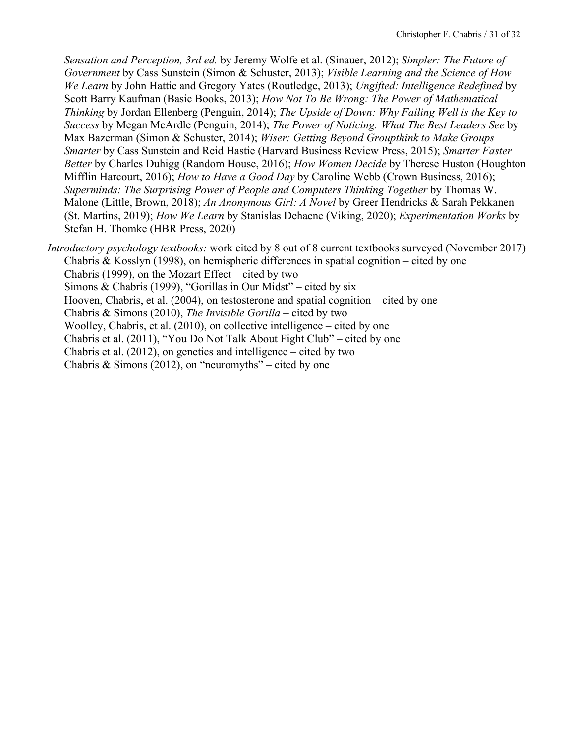*Sensation and Perception, 3rd ed.* by Jeremy Wolfe et al. (Sinauer, 2012); *Simpler: The Future of Government* by Cass Sunstein (Simon & Schuster, 2013); *Visible Learning and the Science of How We Learn* by John Hattie and Gregory Yates (Routledge, 2013); *Ungifted: Intelligence Redefined* by Scott Barry Kaufman (Basic Books, 2013); *How Not To Be Wrong: The Power of Mathematical Thinking* by Jordan Ellenberg (Penguin, 2014); *The Upside of Down: Why Failing Well is the Key to Success* by Megan McArdle (Penguin, 2014); *The Power of Noticing: What The Best Leaders See* by Max Bazerman (Simon & Schuster, 2014); *Wiser: Getting Beyond Groupthink to Make Groups Smarter* by Cass Sunstein and Reid Hastie (Harvard Business Review Press, 2015); *Smarter Faster Better* by Charles Duhigg (Random House, 2016); *How Women Decide* by Therese Huston (Houghton Mifflin Harcourt, 2016); *How to Have a Good Day* by Caroline Webb (Crown Business, 2016); *Superminds: The Surprising Power of People and Computers Thinking Together* by Thomas W. Malone (Little, Brown, 2018); *An Anonymous Girl: A Novel* by Greer Hendricks & Sarah Pekkanen (St. Martins, 2019); *How We Learn* by Stanislas Dehaene (Viking, 2020); *Experimentation Works* by Stefan H. Thomke (HBR Press, 2020)

*Introductory psychology textbooks:* work cited by 8 out of 8 current textbooks surveyed (November 2017) Chabris & Kosslyn (1998), on hemispheric differences in spatial cognition – cited by one Chabris (1999), on the Mozart Effect – cited by two Simons & Chabris (1999), "Gorillas in Our Midst" – cited by six Hooven, Chabris, et al. (2004), on testosterone and spatial cognition – cited by one Chabris & Simons (2010), *The Invisible Gorilla* – cited by two Woolley, Chabris, et al. (2010), on collective intelligence – cited by one Chabris et al. (2011), "You Do Not Talk About Fight Club" – cited by one Chabris et al. (2012), on genetics and intelligence – cited by two Chabris & Simons (2012), on "neuromyths" – cited by one